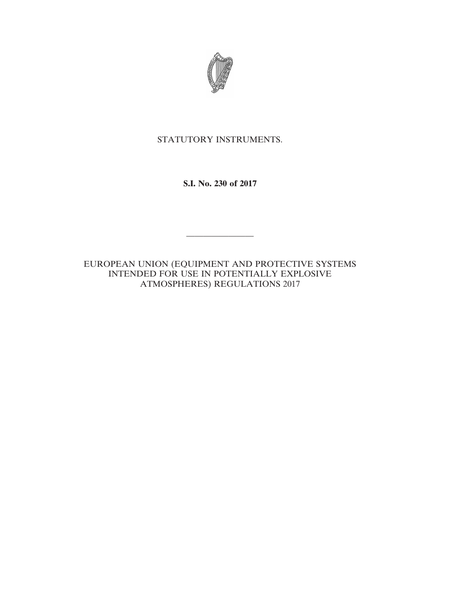

# STATUTORY INSTRUMENTS.

**S.I. No. 230 of 2017**

EUROPEAN UNION (EQUIPMENT AND PROTECTIVE SYSTEMS INTENDED FOR USE IN POTENTIALLY EXPLOSIVE ATMOSPHERES) REGULATIONS 2017

————————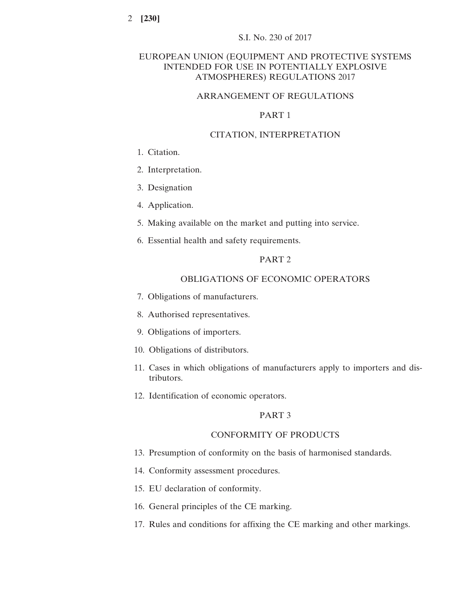# EUROPEAN UNION (EQUIPMENT AND PROTECTIVE SYSTEMS INTENDED FOR USE IN POTENTIALLY EXPLOSIVE ATMOSPHERES) REGULATIONS 2017

# ARRANGEMENT OF REGULATIONS

# PART 1

### CITATION, INTERPRETATION

- 1. Citation.
- 2. Interpretation.
- 3. Designation
- 4. Application.
- 5. Making available on the market and putting into service.
- 6. Essential health and safety requirements.

### PART 2

# OBLIGATIONS OF ECONOMIC OPERATORS

- 7. Obligations of manufacturers.
- 8. Authorised representatives.
- 9. Obligations of importers.
- 10. Obligations of distributors.
- 11. Cases in which obligations of manufacturers apply to importers and distributors.
- 12. Identification of economic operators.

# PART 3

### CONFORMITY OF PRODUCTS

- 13. Presumption of conformity on the basis of harmonised standards.
- 14. Conformity assessment procedures.
- 15. EU declaration of conformity.
- 16. General principles of the CE marking.
- 17. Rules and conditions for affixing the CE marking and other markings.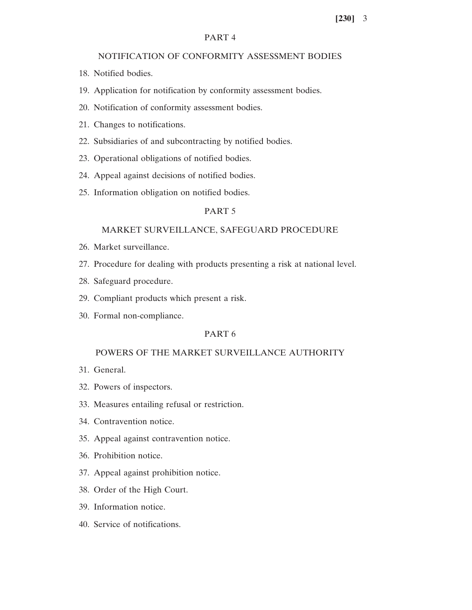### PART 4

# NOTIFICATION OF CONFORMITY ASSESSMENT BODIES

- 18. Notified bodies.
- 19. Application for notification by conformity assessment bodies.
- 20. Notification of conformity assessment bodies.
- 21. Changes to notifications.
- 22. Subsidiaries of and subcontracting by notified bodies.
- 23. Operational obligations of notified bodies.
- 24. Appeal against decisions of notified bodies.
- 25. Information obligation on notified bodies.

# PART 5

### MARKET SURVEILLANCE, SAFEGUARD PROCEDURE

- 26. Market surveillance.
- 27. Procedure for dealing with products presenting a risk at national level.
- 28. Safeguard procedure.
- 29. Compliant products which present a risk.
- 30. Formal non-compliance.

# PART 6

# POWERS OF THE MARKET SURVEILLANCE AUTHORITY

- 31. General.
- 32. Powers of inspectors.
- 33. Measures entailing refusal or restriction.
- 34. Contravention notice.
- 35. Appeal against contravention notice.
- 36. Prohibition notice.
- 37. Appeal against prohibition notice.
- 38. Order of the High Court.
- 39. Information notice.
- 40. Service of notifications.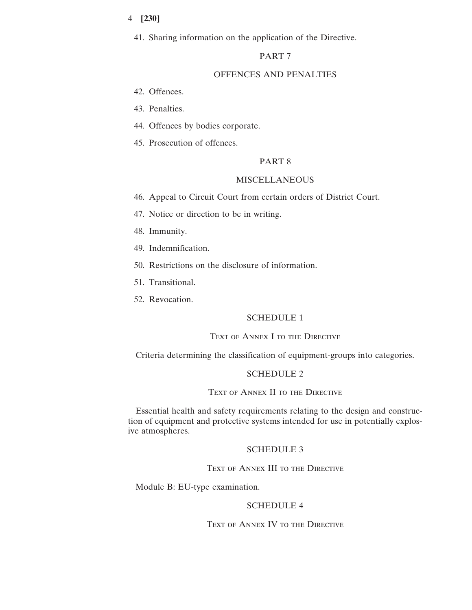41. Sharing information on the application of the Directive.

# PART 7

# OFFENCES AND PENALTIES

- 42. Offences.
- 43. Penalties.
- 44. Offences by bodies corporate.
- 45. Prosecution of offences.

# PART 8

# MISCELLANEOUS

- 46. Appeal to Circuit Court from certain orders of District Court.
- 47. Notice or direction to be in writing.
- 48. Immunity.
- 49. Indemnification.
- 50. Restrictions on the disclosure of information.
- 51. Transitional.
- 52. Revocation.

# SCHEDULE 1

### TEXT OF ANNEX I TO THE DIRECTIVE

Criteria determining the classification of equipment-groups into categories.

# SCHEDULE 2

### Text of Annex II to the Directive

Essential health and safety requirements relating to the design and construction of equipment and protective systems intended for use in potentially explosive atmospheres.

# SCHEDULE 3

### TEXT OF ANNEX III TO THE DIRECTIVE

Module B: EU-type examination.

# SCHEDULE 4

TEXT OF ANNEX IV TO THE DIRECTIVE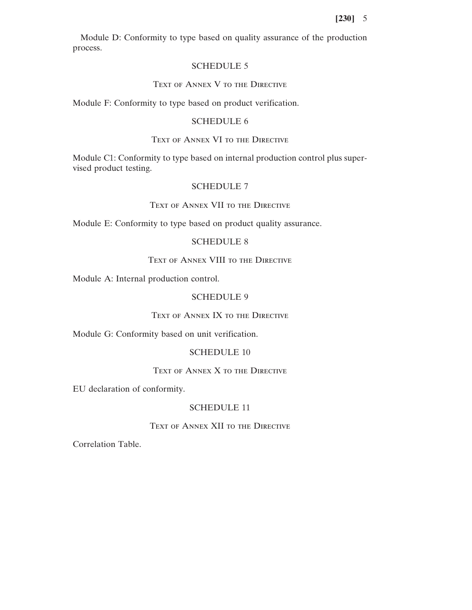Module D: Conformity to type based on quality assurance of the production process.

# SCHEDULE 5

# TEXT OF ANNEX V TO THE DIRECTIVE

Module F: Conformity to type based on product verification.

# SCHEDULE 6

# Text of Annex VI to the Directive

Module C1: Conformity to type based on internal production control plus supervised product testing.

### SCHEDULE 7

# Text of Annex VII to the Directive

Module E: Conformity to type based on product quality assurance.

# SCHEDULE 8

# TEXT OF ANNEX VIII TO THE DIRECTIVE

Module A: Internal production control.

# SCHEDULE 9

# Text of Annex IX to the Directive

Module G: Conformity based on unit verification.

### SCHEDULE 10

# TEXT OF ANNEX X TO THE DIRECTIVE

EU declaration of conformity.

# SCHEDULE 11

### Text of Annex XII to the Directive

Correlation Table.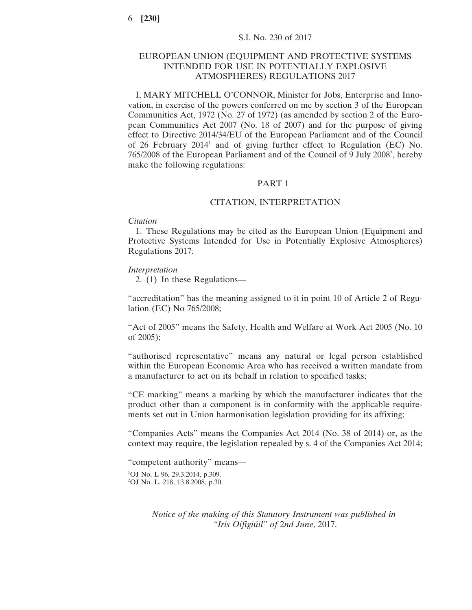# EUROPEAN UNION (EQUIPMENT AND PROTECTIVE SYSTEMS INTENDED FOR USE IN POTENTIALLY EXPLOSIVE ATMOSPHERES) REGULATIONS 2017

I, MARY MITCHELL O'CONNOR, Minister for Jobs, Enterprise and Innovation, in exercise of the powers conferred on me by section 3 of the European Communities Act, 1972 (No. 27 of 1972) (as amended by section 2 of the European Communities Act 2007 (No. 18 of 2007) and for the purpose of giving effect to Directive 2014/34/EU of the European Parliament and of the Council of 26 February 2014<sup>1</sup> and of giving further effect to Regulation (EC) No. 765/2008 of the European Parliament and of the Council of 9 July 20082 , hereby make the following regulations:

### PART 1

### CITATION, INTERPRETATION

#### *Citation*

1. These Regulations may be cited as the European Union (Equipment and Protective Systems Intended for Use in Potentially Explosive Atmospheres) Regulations 2017.

### *Interpretation*

2. (1) In these Regulations—

"accreditation" has the meaning assigned to it in point 10 of Article 2 of Regulation (EC) No 765/2008;

"Act of 2005" means the Safety, Health and Welfare at Work Act 2005 (No. 10 of 2005);

"authorised representative" means any natural or legal person established within the European Economic Area who has received a written mandate from a manufacturer to act on its behalf in relation to specified tasks;

"CE marking" means a marking by which the manufacturer indicates that the product other than a component is in conformity with the applicable requirements set out in Union harmonisation legislation providing for its affixing;

"Companies Acts" means the Companies Act 2014 (No. 38 of 2014) or, as the context may require, the legislation repealed by s. 4 of the Companies Act 2014;

"competent authority" means— <sup>1</sup>OJ No. L 96, 29.3.2014, p.309. 2 OJ No. L. 218, 13.8.2008, p.30.

> *Notice of the making of this Statutory Instrument was published in "Iris Oifigiúil" of* 2*nd June*, 2017.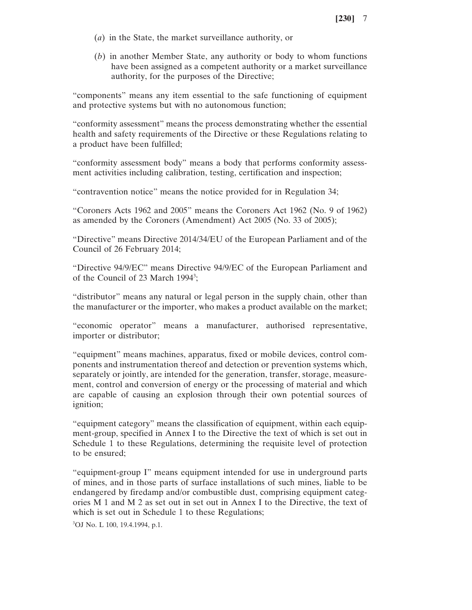- (*a*) in the State, the market surveillance authority, or
- (*b*) in another Member State, any authority or body to whom functions have been assigned as a competent authority or a market surveillance authority, for the purposes of the Directive;

"components" means any item essential to the safe functioning of equipment and protective systems but with no autonomous function;

"conformity assessment" means the process demonstrating whether the essential health and safety requirements of the Directive or these Regulations relating to a product have been fulfilled;

"conformity assessment body" means a body that performs conformity assessment activities including calibration, testing, certification and inspection;

"contravention notice" means the notice provided for in Regulation 34;

"Coroners Acts 1962 and 2005" means the Coroners Act 1962 (No. 9 of 1962) as amended by the Coroners (Amendment) Act 2005 (No. 33 of 2005);

"Directive" means Directive 2014/34/EU of the European Parliament and of the Council of 26 February 2014;

"Directive 94/9/EC" means Directive 94/9/EC of the European Parliament and of the Council of 23 March 1994<sup>3</sup>;

"distributor" means any natural or legal person in the supply chain, other than the manufacturer or the importer, who makes a product available on the market;

"economic operator" means a manufacturer, authorised representative, importer or distributor;

"equipment" means machines, apparatus, fixed or mobile devices, control components and instrumentation thereof and detection or prevention systems which, separately or jointly, are intended for the generation, transfer, storage, measurement, control and conversion of energy or the processing of material and which are capable of causing an explosion through their own potential sources of ignition;

"equipment category" means the classification of equipment, within each equipment-group, specified in Annex I to the Directive the text of which is set out in Schedule 1 to these Regulations, determining the requisite level of protection to be ensured;

"equipment-group I" means equipment intended for use in underground parts of mines, and in those parts of surface installations of such mines, liable to be endangered by firedamp and/or combustible dust, comprising equipment categories M 1 and M 2 as set out in set out in Annex I to the Directive, the text of which is set out in Schedule 1 to these Regulations;

3 OJ No. L 100, 19.4.1994, p.1.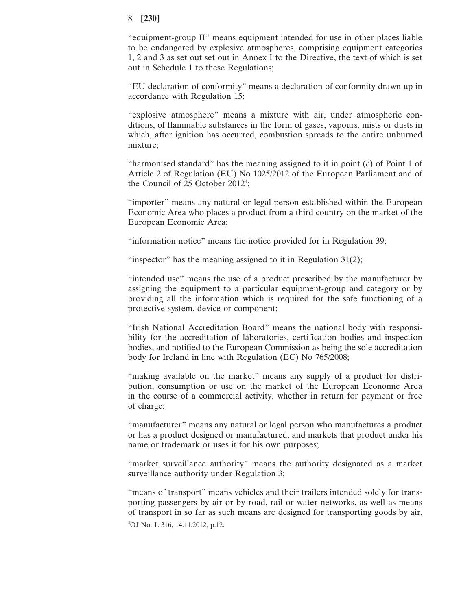"equipment-group II" means equipment intended for use in other places liable to be endangered by explosive atmospheres, comprising equipment categories 1, 2 and 3 as set out set out in Annex I to the Directive, the text of which is set out in Schedule 1 to these Regulations;

"EU declaration of conformity" means a declaration of conformity drawn up in accordance with Regulation 15;

"explosive atmosphere" means a mixture with air, under atmospheric conditions, of flammable substances in the form of gases, vapours, mists or dusts in which, after ignition has occurred, combustion spreads to the entire unburned mixture;

"harmonised standard" has the meaning assigned to it in point (*c*) of Point 1 of Article 2 of Regulation (EU) No 1025/2012 of the European Parliament and of the Council of 25 October 2012<sup>4</sup>;

"importer" means any natural or legal person established within the European Economic Area who places a product from a third country on the market of the European Economic Area;

"information notice" means the notice provided for in Regulation 39;

"inspector" has the meaning assigned to it in Regulation  $31(2)$ ;

"intended use" means the use of a product prescribed by the manufacturer by assigning the equipment to a particular equipment-group and category or by providing all the information which is required for the safe functioning of a protective system, device or component;

"Irish National Accreditation Board" means the national body with responsibility for the accreditation of laboratories, certification bodies and inspection bodies, and notified to the European Commission as being the sole accreditation body for Ireland in line with Regulation (EC) No 765/2008;

"making available on the market" means any supply of a product for distribution, consumption or use on the market of the European Economic Area in the course of a commercial activity, whether in return for payment or free of charge;

"manufacturer" means any natural or legal person who manufactures a product or has a product designed or manufactured, and markets that product under his name or trademark or uses it for his own purposes;

"market surveillance authority" means the authority designated as a market surveillance authority under Regulation 3;

"means of transport" means vehicles and their trailers intended solely for transporting passengers by air or by road, rail or water networks, as well as means of transport in so far as such means are designed for transporting goods by air, 4 OJ No. L 316, 14.11.2012, p.12.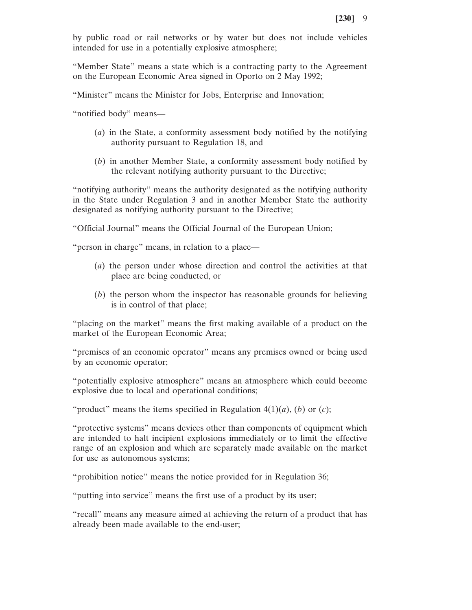by public road or rail networks or by water but does not include vehicles intended for use in a potentially explosive atmosphere;

"Member State" means a state which is a contracting party to the Agreement on the European Economic Area signed in Oporto on 2 May 1992;

"Minister" means the Minister for Jobs, Enterprise and Innovation;

"notified body" means—

- (*a*) in the State, a conformity assessment body notified by the notifying authority pursuant to Regulation 18, and
- (*b*) in another Member State, a conformity assessment body notified by the relevant notifying authority pursuant to the Directive;

"notifying authority" means the authority designated as the notifying authority in the State under Regulation 3 and in another Member State the authority designated as notifying authority pursuant to the Directive;

"Official Journal" means the Official Journal of the European Union;

"person in charge" means, in relation to a place—

- (*a*) the person under whose direction and control the activities at that place are being conducted, or
- (*b*) the person whom the inspector has reasonable grounds for believing is in control of that place;

"placing on the market" means the first making available of a product on the market of the European Economic Area;

"premises of an economic operator" means any premises owned or being used by an economic operator;

"potentially explosive atmosphere" means an atmosphere which could become explosive due to local and operational conditions;

"product" means the items specified in Regulation  $4(1)(a)$ ,  $(b)$  or  $(c)$ ;

"protective systems" means devices other than components of equipment which are intended to halt incipient explosions immediately or to limit the effective range of an explosion and which are separately made available on the market for use as autonomous systems;

"prohibition notice" means the notice provided for in Regulation 36;

"putting into service" means the first use of a product by its user;

"recall" means any measure aimed at achieving the return of a product that has already been made available to the end-user;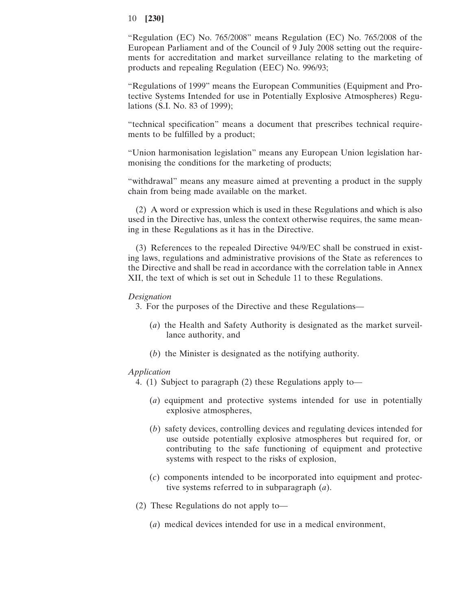"Regulation (EC) No. 765/2008" means Regulation (EC) No. 765/2008 of the European Parliament and of the Council of 9 July 2008 setting out the requirements for accreditation and market surveillance relating to the marketing of products and repealing Regulation (EEC) No. 996/93;

"Regulations of 1999" means the European Communities (Equipment and Protective Systems Intended for use in Potentially Explosive Atmospheres) Regulations (S.I. No. 83 of 1999);

"technical specification" means a document that prescribes technical requirements to be fulfilled by a product;

"Union harmonisation legislation" means any European Union legislation harmonising the conditions for the marketing of products;

"withdrawal" means any measure aimed at preventing a product in the supply chain from being made available on the market.

(2) A word or expression which is used in these Regulations and which is also used in the Directive has, unless the context otherwise requires, the same meaning in these Regulations as it has in the Directive.

(3) References to the repealed Directive 94/9/EC shall be construed in existing laws, regulations and administrative provisions of the State as references to the Directive and shall be read in accordance with the correlation table in Annex XII, the text of which is set out in Schedule 11 to these Regulations.

# *Designation*

3. For the purposes of the Directive and these Regulations—

- (*a*) the Health and Safety Authority is designated as the market surveillance authority, and
- (*b*) the Minister is designated as the notifying authority.

### *Application*

4. (1) Subject to paragraph (2) these Regulations apply to—

- (*a*) equipment and protective systems intended for use in potentially explosive atmospheres,
- (*b*) safety devices, controlling devices and regulating devices intended for use outside potentially explosive atmospheres but required for, or contributing to the safe functioning of equipment and protective systems with respect to the risks of explosion,
- (*c*) components intended to be incorporated into equipment and protective systems referred to in subparagraph (*a*).
- (2) These Regulations do not apply to—
	- (*a*) medical devices intended for use in a medical environment,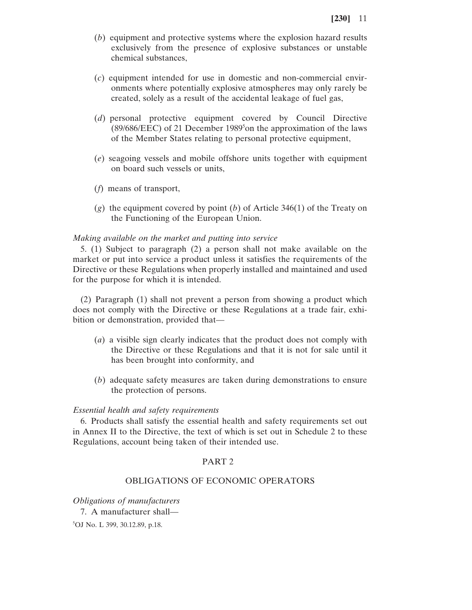- (*b*) equipment and protective systems where the explosion hazard results exclusively from the presence of explosive substances or unstable chemical substances,
- (*c*) equipment intended for use in domestic and non-commercial environments where potentially explosive atmospheres may only rarely be created, solely as a result of the accidental leakage of fuel gas,
- (*d*) personal protective equipment covered by Council Directive (89/686/EEC) of 21 December 1989<sup>5</sup> on the approximation of the laws of the Member States relating to personal protective equipment,
- (*e*) seagoing vessels and mobile offshore units together with equipment on board such vessels or units,
- (*f*) means of transport,
- (*g*) the equipment covered by point (*b*) of Article 346(1) of the Treaty on the Functioning of the European Union.

### *Making available on the market and putting into service*

5. (1) Subject to paragraph (2) a person shall not make available on the market or put into service a product unless it satisfies the requirements of the Directive or these Regulations when properly installed and maintained and used for the purpose for which it is intended.

(2) Paragraph (1) shall not prevent a person from showing a product which does not comply with the Directive or these Regulations at a trade fair, exhibition or demonstration, provided that—

- (*a*) a visible sign clearly indicates that the product does not comply with the Directive or these Regulations and that it is not for sale until it has been brought into conformity, and
- (*b*) adequate safety measures are taken during demonstrations to ensure the protection of persons.

#### *Essential health and safety requirements*

6. Products shall satisfy the essential health and safety requirements set out in Annex II to the Directive, the text of which is set out in Schedule 2 to these Regulations, account being taken of their intended use.

# PART 2

# OBLIGATIONS OF ECONOMIC OPERATORS

*Obligations of manufacturers*

7. A manufacturer shall—

5 OJ No. L 399, 30.12.89, p.18.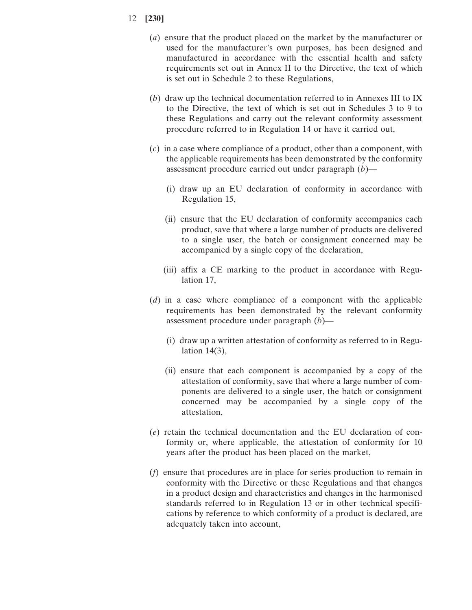- (*a*) ensure that the product placed on the market by the manufacturer or used for the manufacturer's own purposes, has been designed and manufactured in accordance with the essential health and safety requirements set out in Annex II to the Directive, the text of which is set out in Schedule 2 to these Regulations,
- (*b*) draw up the technical documentation referred to in Annexes III to IX to the Directive, the text of which is set out in Schedules 3 to 9 to these Regulations and carry out the relevant conformity assessment procedure referred to in Regulation 14 or have it carried out,
- (*c*) in a case where compliance of a product, other than a component, with the applicable requirements has been demonstrated by the conformity assessment procedure carried out under paragraph (*b*)—
	- (i) draw up an EU declaration of conformity in accordance with Regulation 15,
	- (ii) ensure that the EU declaration of conformity accompanies each product, save that where a large number of products are delivered to a single user, the batch or consignment concerned may be accompanied by a single copy of the declaration,
	- (iii) affix a CE marking to the product in accordance with Regulation 17,
- (*d*) in a case where compliance of a component with the applicable requirements has been demonstrated by the relevant conformity assessment procedure under paragraph (*b*)—
	- (i) draw up a written attestation of conformity as referred to in Regulation 14(3),
	- (ii) ensure that each component is accompanied by a copy of the attestation of conformity, save that where a large number of components are delivered to a single user, the batch or consignment concerned may be accompanied by a single copy of the attestation,
- (*e*) retain the technical documentation and the EU declaration of conformity or, where applicable, the attestation of conformity for 10 years after the product has been placed on the market,
- (*f*) ensure that procedures are in place for series production to remain in conformity with the Directive or these Regulations and that changes in a product design and characteristics and changes in the harmonised standards referred to in Regulation 13 or in other technical specifications by reference to which conformity of a product is declared, are adequately taken into account,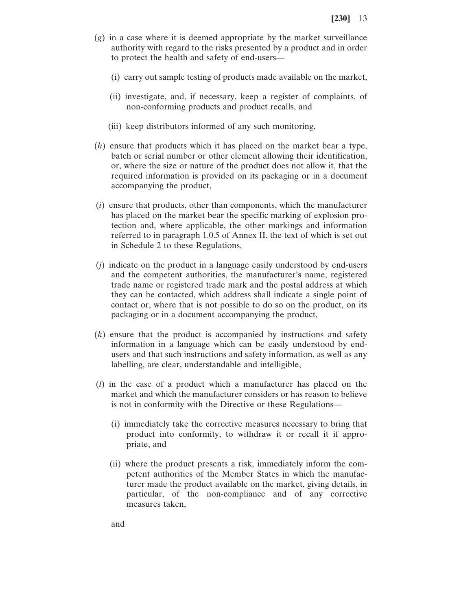- (*g*) in a case where it is deemed appropriate by the market surveillance authority with regard to the risks presented by a product and in order to protect the health and safety of end-users—
	- (i) carry out sample testing of products made available on the market,
	- (ii) investigate, and, if necessary, keep a register of complaints, of non-conforming products and product recalls, and
	- (iii) keep distributors informed of any such monitoring,
- (*h*) ensure that products which it has placed on the market bear a type, batch or serial number or other element allowing their identification, or, where the size or nature of the product does not allow it, that the required information is provided on its packaging or in a document accompanying the product,
- (*i*) ensure that products, other than components, which the manufacturer has placed on the market bear the specific marking of explosion protection and, where applicable, the other markings and information referred to in paragraph 1.0.5 of Annex II, the text of which is set out in Schedule 2 to these Regulations,
- (*j*) indicate on the product in a language easily understood by end-users and the competent authorities, the manufacturer's name, registered trade name or registered trade mark and the postal address at which they can be contacted, which address shall indicate a single point of contact or, where that is not possible to do so on the product, on its packaging or in a document accompanying the product,
- (*k*) ensure that the product is accompanied by instructions and safety information in a language which can be easily understood by endusers and that such instructions and safety information, as well as any labelling, are clear, understandable and intelligible,
- (*l*) in the case of a product which a manufacturer has placed on the market and which the manufacturer considers or has reason to believe is not in conformity with the Directive or these Regulations—
	- (i) immediately take the corrective measures necessary to bring that product into conformity, to withdraw it or recall it if appropriate, and
	- (ii) where the product presents a risk, immediately inform the competent authorities of the Member States in which the manufacturer made the product available on the market, giving details, in particular, of the non-compliance and of any corrective measures taken,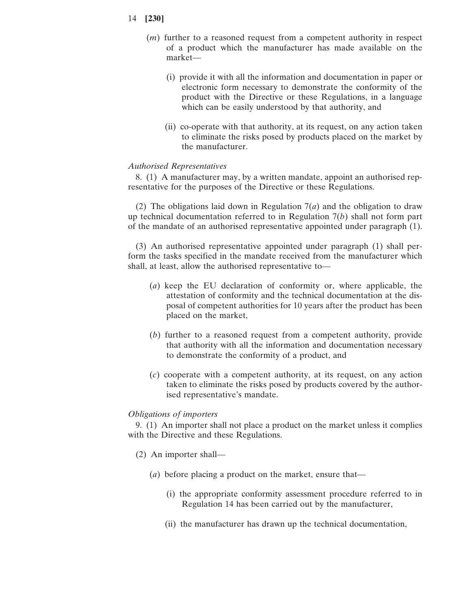- 14 **[230]**
	- (*m*) further to a reasoned request from a competent authority in respect of a product which the manufacturer has made available on the market—
		- (i) provide it with all the information and documentation in paper or electronic form necessary to demonstrate the conformity of the product with the Directive or these Regulations, in a language which can be easily understood by that authority, and
		- (ii) co-operate with that authority, at its request, on any action taken to eliminate the risks posed by products placed on the market by the manufacturer.

### *Authorised Representatives*

8. (1) A manufacturer may, by a written mandate, appoint an authorised representative for the purposes of the Directive or these Regulations.

(2) The obligations laid down in Regulation 7(*a*) and the obligation to draw up technical documentation referred to in Regulation 7(*b*) shall not form part of the mandate of an authorised representative appointed under paragraph (1).

(3) An authorised representative appointed under paragraph (1) shall perform the tasks specified in the mandate received from the manufacturer which shall, at least, allow the authorised representative to—

- (*a*) keep the EU declaration of conformity or, where applicable, the attestation of conformity and the technical documentation at the disposal of competent authorities for 10 years after the product has been placed on the market,
- (*b*) further to a reasoned request from a competent authority, provide that authority with all the information and documentation necessary to demonstrate the conformity of a product, and
- (*c*) cooperate with a competent authority, at its request, on any action taken to eliminate the risks posed by products covered by the authorised representative's mandate.

### *Obligations of importers*

9. (1) An importer shall not place a product on the market unless it complies with the Directive and these Regulations.

- (2) An importer shall—
	- (*a*) before placing a product on the market, ensure that—
		- (i) the appropriate conformity assessment procedure referred to in Regulation 14 has been carried out by the manufacturer,
		- (ii) the manufacturer has drawn up the technical documentation,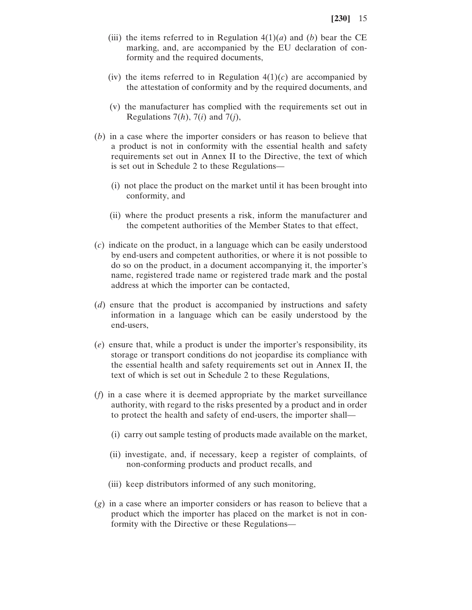- (iii) the items referred to in Regulation  $4(1)(a)$  and (*b*) bear the CE marking, and, are accompanied by the EU declaration of conformity and the required documents,
- (iv) the items referred to in Regulation  $4(1)(c)$  are accompanied by the attestation of conformity and by the required documents, and
- (v) the manufacturer has complied with the requirements set out in Regulations  $7(h)$ ,  $7(i)$  and  $7(j)$ ,
- (*b*) in a case where the importer considers or has reason to believe that a product is not in conformity with the essential health and safety requirements set out in Annex II to the Directive, the text of which is set out in Schedule 2 to these Regulations—
	- (i) not place the product on the market until it has been brought into conformity, and
	- (ii) where the product presents a risk, inform the manufacturer and the competent authorities of the Member States to that effect,
- (*c*) indicate on the product, in a language which can be easily understood by end-users and competent authorities, or where it is not possible to do so on the product, in a document accompanying it, the importer's name, registered trade name or registered trade mark and the postal address at which the importer can be contacted,
- (*d*) ensure that the product is accompanied by instructions and safety information in a language which can be easily understood by the end-users,
- (*e*) ensure that, while a product is under the importer's responsibility, its storage or transport conditions do not jeopardise its compliance with the essential health and safety requirements set out in Annex II, the text of which is set out in Schedule 2 to these Regulations,
- (*f*) in a case where it is deemed appropriate by the market surveillance authority, with regard to the risks presented by a product and in order to protect the health and safety of end-users, the importer shall—
	- (i) carry out sample testing of products made available on the market,
	- (ii) investigate, and, if necessary, keep a register of complaints, of non-conforming products and product recalls, and
	- (iii) keep distributors informed of any such monitoring,
- (*g*) in a case where an importer considers or has reason to believe that a product which the importer has placed on the market is not in conformity with the Directive or these Regulations—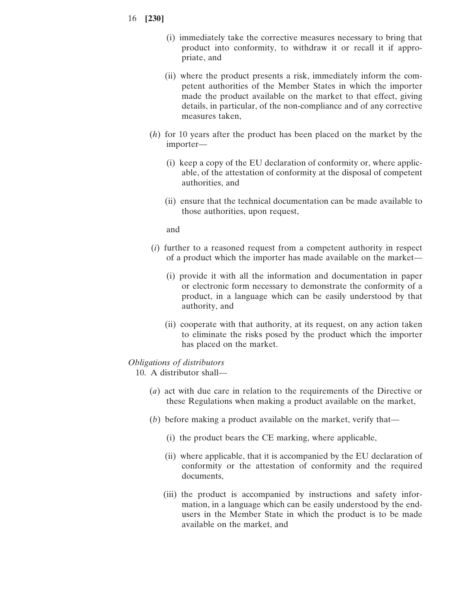- 16 **[230]**
	- (i) immediately take the corrective measures necessary to bring that product into conformity, to withdraw it or recall it if appropriate, and
	- (ii) where the product presents a risk, immediately inform the competent authorities of the Member States in which the importer made the product available on the market to that effect, giving details, in particular, of the non-compliance and of any corrective measures taken,
	- (*h*) for 10 years after the product has been placed on the market by the importer—
		- (i) keep a copy of the EU declaration of conformity or, where applicable, of the attestation of conformity at the disposal of competent authorities, and
		- (ii) ensure that the technical documentation can be made available to those authorities, upon request,

and

- (*i*) further to a reasoned request from a competent authority in respect of a product which the importer has made available on the market—
	- (i) provide it with all the information and documentation in paper or electronic form necessary to demonstrate the conformity of a product, in a language which can be easily understood by that authority, and
	- (ii) cooperate with that authority, at its request, on any action taken to eliminate the risks posed by the product which the importer has placed on the market.

### *Obligations of distributors*

10. A distributor shall—

- (*a*) act with due care in relation to the requirements of the Directive or these Regulations when making a product available on the market,
- (*b*) before making a product available on the market, verify that—
	- (i) the product bears the CE marking, where applicable,
	- (ii) where applicable, that it is accompanied by the EU declaration of conformity or the attestation of conformity and the required documents,
	- (iii) the product is accompanied by instructions and safety information, in a language which can be easily understood by the endusers in the Member State in which the product is to be made available on the market, and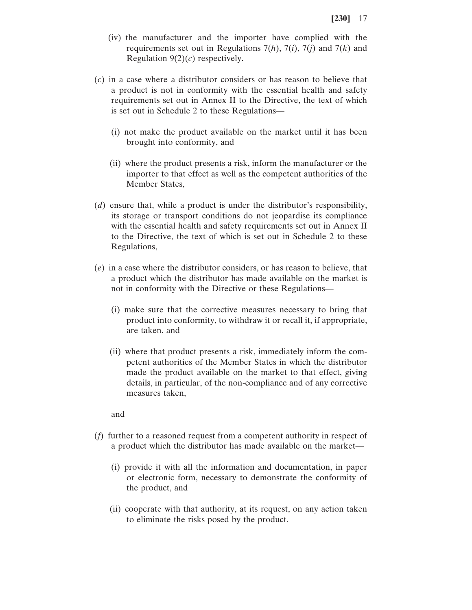- (iv) the manufacturer and the importer have complied with the requirements set out in Regulations 7(*h*), 7(*i*), 7(*j*) and 7(*k*) and Regulation 9(2)(*c*) respectively.
- (*c*) in a case where a distributor considers or has reason to believe that a product is not in conformity with the essential health and safety requirements set out in Annex II to the Directive, the text of which is set out in Schedule 2 to these Regulations—
	- (i) not make the product available on the market until it has been brought into conformity, and
	- (ii) where the product presents a risk, inform the manufacturer or the importer to that effect as well as the competent authorities of the Member States,
- (*d*) ensure that, while a product is under the distributor's responsibility, its storage or transport conditions do not jeopardise its compliance with the essential health and safety requirements set out in Annex II to the Directive, the text of which is set out in Schedule 2 to these Regulations,
- (*e*) in a case where the distributor considers, or has reason to believe, that a product which the distributor has made available on the market is not in conformity with the Directive or these Regulations—
	- (i) make sure that the corrective measures necessary to bring that product into conformity, to withdraw it or recall it, if appropriate, are taken, and
	- (ii) where that product presents a risk, immediately inform the competent authorities of the Member States in which the distributor made the product available on the market to that effect, giving details, in particular, of the non-compliance and of any corrective measures taken,

and

- (*f*) further to a reasoned request from a competent authority in respect of a product which the distributor has made available on the market—
	- (i) provide it with all the information and documentation, in paper or electronic form, necessary to demonstrate the conformity of the product, and
	- (ii) cooperate with that authority, at its request, on any action taken to eliminate the risks posed by the product.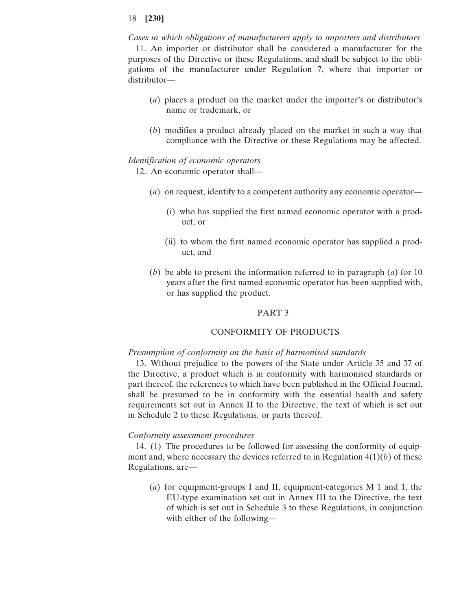*Cases in which obligations of manufacturers apply to importers and distributors* 11. An importer or distributor shall be considered a manufacturer for the purposes of the Directive or these Regulations, and shall be subject to the obligations of the manufacturer under Regulation 7, where that importer or distributor—

- (*a*) places a product on the market under the importer's or distributor's name or trademark, or
- (*b*) modifies a product already placed on the market in such a way that compliance with the Directive or these Regulations may be affected.

### *Identification of economic operators*

12. An economic operator shall—

- (*a*) on request, identify to a competent authority any economic operator—
	- (i) who has supplied the first named economic operator with a product, or
	- (ii) to whom the first named economic operator has supplied a product, and
- (*b*) be able to present the information referred to in paragraph (*a*) for 10 years after the first named economic operator has been supplied with, or has supplied the product.

### PART 3

# CONFORMITY OF PRODUCTS

#### *Presumption of conformity on the basis of harmonised standards*

13. Without prejudice to the powers of the State under Article 35 and 37 of the Directive, a product which is in conformity with harmonised standards or part thereof, the references to which have been published in the Official Journal, shall be presumed to be in conformity with the essential health and safety requirements set out in Annex II to the Directive, the text of which is set out in Schedule 2 to these Regulations, or parts thereof.

#### *Conformity assessment procedures*

14. (1) The procedures to be followed for assessing the conformity of equipment and, where necessary the devices referred to in Regulation 4(1)(*b*) of these Regulations, are—

(*a*) for equipment-groups I and II, equipment-categories M 1 and 1, the EU-type examination set out in Annex III to the Directive, the text of which is set out in Schedule 3 to these Regulations, in conjunction with either of the following—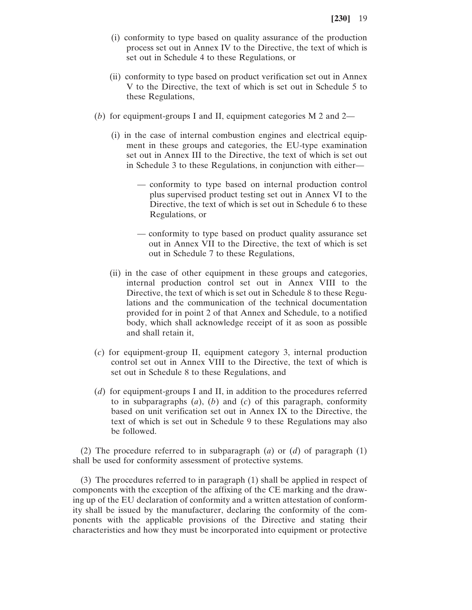- (i) conformity to type based on quality assurance of the production process set out in Annex IV to the Directive, the text of which is set out in Schedule 4 to these Regulations, or
- (ii) conformity to type based on product verification set out in Annex V to the Directive, the text of which is set out in Schedule 5 to these Regulations,
- (*b*) for equipment-groups I and II, equipment categories M 2 and 2—
	- (i) in the case of internal combustion engines and electrical equipment in these groups and categories, the EU-type examination set out in Annex III to the Directive, the text of which is set out in Schedule 3 to these Regulations, in conjunction with either—
		- conformity to type based on internal production control plus supervised product testing set out in Annex VI to the Directive, the text of which is set out in Schedule 6 to these Regulations, or
		- conformity to type based on product quality assurance set out in Annex VII to the Directive, the text of which is set out in Schedule 7 to these Regulations,
	- (ii) in the case of other equipment in these groups and categories, internal production control set out in Annex VIII to the Directive, the text of which is set out in Schedule 8 to these Regulations and the communication of the technical documentation provided for in point 2 of that Annex and Schedule, to a notified body, which shall acknowledge receipt of it as soon as possible and shall retain it,
- (*c*) for equipment-group II, equipment category 3, internal production control set out in Annex VIII to the Directive, the text of which is set out in Schedule 8 to these Regulations, and
- (*d*) for equipment-groups I and II, in addition to the procedures referred to in subparagraphs (*a*), (*b*) and (*c*) of this paragraph, conformity based on unit verification set out in Annex IX to the Directive, the text of which is set out in Schedule 9 to these Regulations may also be followed.

(2) The procedure referred to in subparagraph  $(a)$  or  $(d)$  of paragraph  $(1)$ shall be used for conformity assessment of protective systems.

(3) The procedures referred to in paragraph (1) shall be applied in respect of components with the exception of the affixing of the CE marking and the drawing up of the EU declaration of conformity and a written attestation of conformity shall be issued by the manufacturer, declaring the conformity of the components with the applicable provisions of the Directive and stating their characteristics and how they must be incorporated into equipment or protective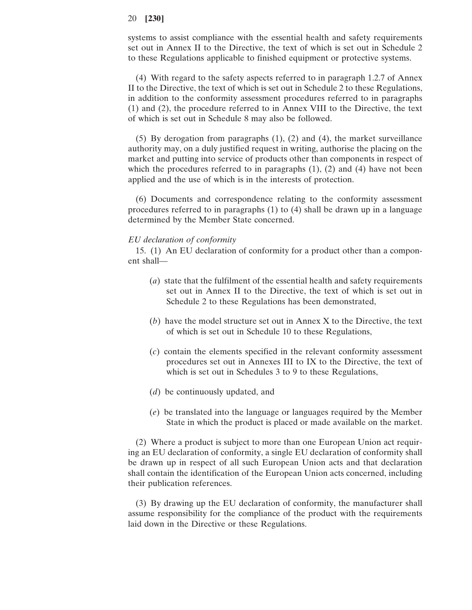systems to assist compliance with the essential health and safety requirements set out in Annex II to the Directive, the text of which is set out in Schedule 2 to these Regulations applicable to finished equipment or protective systems.

(4) With regard to the safety aspects referred to in paragraph 1.2.7 of Annex II to the Directive, the text of which is set out in Schedule 2 to these Regulations, in addition to the conformity assessment procedures referred to in paragraphs (1) and (2), the procedure referred to in Annex VIII to the Directive, the text of which is set out in Schedule 8 may also be followed.

(5) By derogation from paragraphs (1), (2) and (4), the market surveillance authority may, on a duly justified request in writing, authorise the placing on the market and putting into service of products other than components in respect of which the procedures referred to in paragraphs  $(1)$ ,  $(2)$  and  $(4)$  have not been applied and the use of which is in the interests of protection.

(6) Documents and correspondence relating to the conformity assessment procedures referred to in paragraphs (1) to (4) shall be drawn up in a language determined by the Member State concerned.

#### *EU declaration of conformity*

15. (1) An EU declaration of conformity for a product other than a component shall—

- (*a*) state that the fulfilment of the essential health and safety requirements set out in Annex II to the Directive, the text of which is set out in Schedule 2 to these Regulations has been demonstrated,
- (*b*) have the model structure set out in Annex X to the Directive, the text of which is set out in Schedule 10 to these Regulations,
- (*c*) contain the elements specified in the relevant conformity assessment procedures set out in Annexes III to IX to the Directive, the text of which is set out in Schedules 3 to 9 to these Regulations,
- (*d*) be continuously updated, and
- (*e*) be translated into the language or languages required by the Member State in which the product is placed or made available on the market.

(2) Where a product is subject to more than one European Union act requiring an EU declaration of conformity, a single EU declaration of conformity shall be drawn up in respect of all such European Union acts and that declaration shall contain the identification of the European Union acts concerned, including their publication references.

(3) By drawing up the EU declaration of conformity, the manufacturer shall assume responsibility for the compliance of the product with the requirements laid down in the Directive or these Regulations.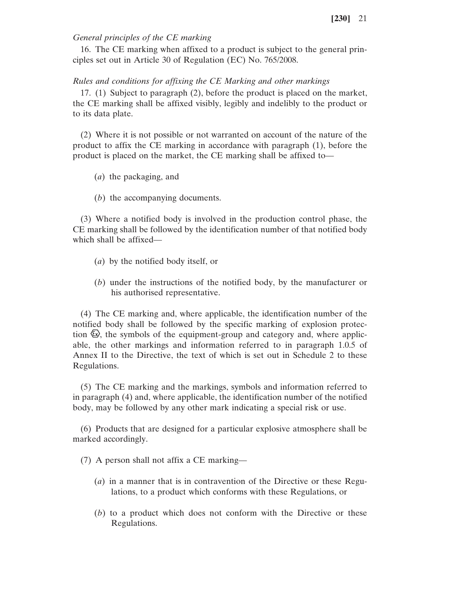# *General principles of the CE marking*

16. The CE marking when affixed to a product is subject to the general principles set out in Article 30 of Regulation (EC) No. 765/2008.

# *Rules and conditions for affixing the CE Marking and other markings*

17. (1) Subject to paragraph (2), before the product is placed on the market, the CE marking shall be affixed visibly, legibly and indelibly to the product or to its data plate.

(2) Where it is not possible or not warranted on account of the nature of the product to affix the CE marking in accordance with paragraph (1), before the product is placed on the market, the CE marking shall be affixed to—

- (*a*) the packaging, and
- (*b*) the accompanying documents.

(3) Where a notified body is involved in the production control phase, the CE marking shall be followed by the identification number of that notified body which shall be affixed—

- (*a*) by the notified body itself, or
- (*b*) under the instructions of the notified body, by the manufacturer or his authorised representative.

(4) The CE marking and, where applicable, the identification number of the notified body shall be followed by the specific marking of explosion protection  $\mathbb{Q}$ , the symbols of the equipment-group and category and, where applicable, the other markings and information referred to in paragraph 1.0.5 of Annex II to the Directive, the text of which is set out in Schedule 2 to these Regulations.

(5) The CE marking and the markings, symbols and information referred to in paragraph (4) and, where applicable, the identification number of the notified body, may be followed by any other mark indicating a special risk or use.

(6) Products that are designed for a particular explosive atmosphere shall be marked accordingly.

(7) A person shall not affix a CE marking—

- (*a*) in a manner that is in contravention of the Directive or these Regulations, to a product which conforms with these Regulations, or
- (*b*) to a product which does not conform with the Directive or these Regulations.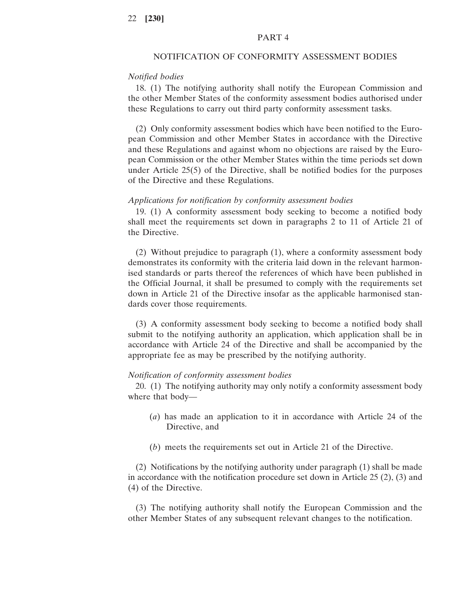### PART 4

# NOTIFICATION OF CONFORMITY ASSESSMENT BODIES

# *Notified bodies*

18. (1) The notifying authority shall notify the European Commission and the other Member States of the conformity assessment bodies authorised under these Regulations to carry out third party conformity assessment tasks.

(2) Only conformity assessment bodies which have been notified to the European Commission and other Member States in accordance with the Directive and these Regulations and against whom no objections are raised by the European Commission or the other Member States within the time periods set down under Article 25(5) of the Directive, shall be notified bodies for the purposes of the Directive and these Regulations.

#### *Applications for notification by conformity assessment bodies*

19. (1) A conformity assessment body seeking to become a notified body shall meet the requirements set down in paragraphs 2 to 11 of Article 21 of the Directive.

(2) Without prejudice to paragraph (1), where a conformity assessment body demonstrates its conformity with the criteria laid down in the relevant harmonised standards or parts thereof the references of which have been published in the Official Journal, it shall be presumed to comply with the requirements set down in Article 21 of the Directive insofar as the applicable harmonised standards cover those requirements.

(3) A conformity assessment body seeking to become a notified body shall submit to the notifying authority an application, which application shall be in accordance with Article 24 of the Directive and shall be accompanied by the appropriate fee as may be prescribed by the notifying authority.

### *Notification of conformity assessment bodies*

20. (1) The notifying authority may only notify a conformity assessment body where that body—

- (*a*) has made an application to it in accordance with Article 24 of the Directive, and
- (*b*) meets the requirements set out in Article 21 of the Directive.

(2) Notifications by the notifying authority under paragraph (1) shall be made in accordance with the notification procedure set down in Article 25 (2), (3) and (4) of the Directive.

(3) The notifying authority shall notify the European Commission and the other Member States of any subsequent relevant changes to the notification.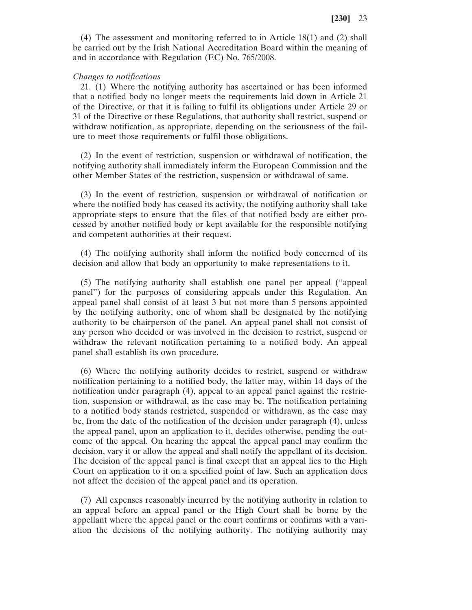(4) The assessment and monitoring referred to in Article 18(1) and (2) shall be carried out by the Irish National Accreditation Board within the meaning of and in accordance with Regulation (EC) No. 765/2008.

#### *Changes to notifications*

21. (1) Where the notifying authority has ascertained or has been informed that a notified body no longer meets the requirements laid down in Article 21 of the Directive, or that it is failing to fulfil its obligations under Article 29 or 31 of the Directive or these Regulations, that authority shall restrict, suspend or withdraw notification, as appropriate, depending on the seriousness of the failure to meet those requirements or fulfil those obligations.

(2) In the event of restriction, suspension or withdrawal of notification, the notifying authority shall immediately inform the European Commission and the other Member States of the restriction, suspension or withdrawal of same.

(3) In the event of restriction, suspension or withdrawal of notification or where the notified body has ceased its activity, the notifying authority shall take appropriate steps to ensure that the files of that notified body are either processed by another notified body or kept available for the responsible notifying and competent authorities at their request.

(4) The notifying authority shall inform the notified body concerned of its decision and allow that body an opportunity to make representations to it.

(5) The notifying authority shall establish one panel per appeal ("appeal panel") for the purposes of considering appeals under this Regulation. An appeal panel shall consist of at least 3 but not more than 5 persons appointed by the notifying authority, one of whom shall be designated by the notifying authority to be chairperson of the panel. An appeal panel shall not consist of any person who decided or was involved in the decision to restrict, suspend or withdraw the relevant notification pertaining to a notified body. An appeal panel shall establish its own procedure.

(6) Where the notifying authority decides to restrict, suspend or withdraw notification pertaining to a notified body, the latter may, within 14 days of the notification under paragraph (4), appeal to an appeal panel against the restriction, suspension or withdrawal, as the case may be. The notification pertaining to a notified body stands restricted, suspended or withdrawn, as the case may be, from the date of the notification of the decision under paragraph (4), unless the appeal panel, upon an application to it, decides otherwise, pending the outcome of the appeal. On hearing the appeal the appeal panel may confirm the decision, vary it or allow the appeal and shall notify the appellant of its decision. The decision of the appeal panel is final except that an appeal lies to the High Court on application to it on a specified point of law. Such an application does not affect the decision of the appeal panel and its operation.

(7) All expenses reasonably incurred by the notifying authority in relation to an appeal before an appeal panel or the High Court shall be borne by the appellant where the appeal panel or the court confirms or confirms with a variation the decisions of the notifying authority. The notifying authority may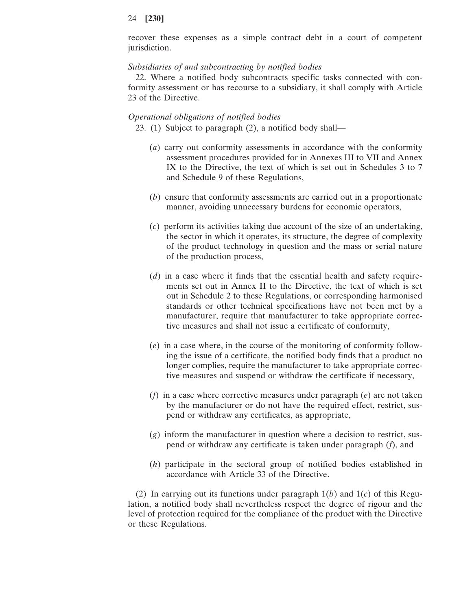recover these expenses as a simple contract debt in a court of competent jurisdiction.

### *Subsidiaries of and subcontracting by notified bodies*

22. Where a notified body subcontracts specific tasks connected with conformity assessment or has recourse to a subsidiary, it shall comply with Article 23 of the Directive.

#### *Operational obligations of notified bodies*

23. (1) Subject to paragraph (2), a notified body shall—

- (*a*) carry out conformity assessments in accordance with the conformity assessment procedures provided for in Annexes III to VII and Annex IX to the Directive, the text of which is set out in Schedules 3 to 7 and Schedule 9 of these Regulations,
- (*b*) ensure that conformity assessments are carried out in a proportionate manner, avoiding unnecessary burdens for economic operators,
- (*c*) perform its activities taking due account of the size of an undertaking, the sector in which it operates, its structure, the degree of complexity of the product technology in question and the mass or serial nature of the production process,
- (*d*) in a case where it finds that the essential health and safety requirements set out in Annex II to the Directive, the text of which is set out in Schedule 2 to these Regulations, or corresponding harmonised standards or other technical specifications have not been met by a manufacturer, require that manufacturer to take appropriate corrective measures and shall not issue a certificate of conformity,
- (*e*) in a case where, in the course of the monitoring of conformity following the issue of a certificate, the notified body finds that a product no longer complies, require the manufacturer to take appropriate corrective measures and suspend or withdraw the certificate if necessary,
- (*f*) in a case where corrective measures under paragraph (*e*) are not taken by the manufacturer or do not have the required effect, restrict, suspend or withdraw any certificates, as appropriate,
- (*g*) inform the manufacturer in question where a decision to restrict, suspend or withdraw any certificate is taken under paragraph (*f*), and
- (*h*) participate in the sectoral group of notified bodies established in accordance with Article 33 of the Directive.

(2) In carrying out its functions under paragraph 1(*b*) and 1(*c*) of this Regulation, a notified body shall nevertheless respect the degree of rigour and the level of protection required for the compliance of the product with the Directive or these Regulations.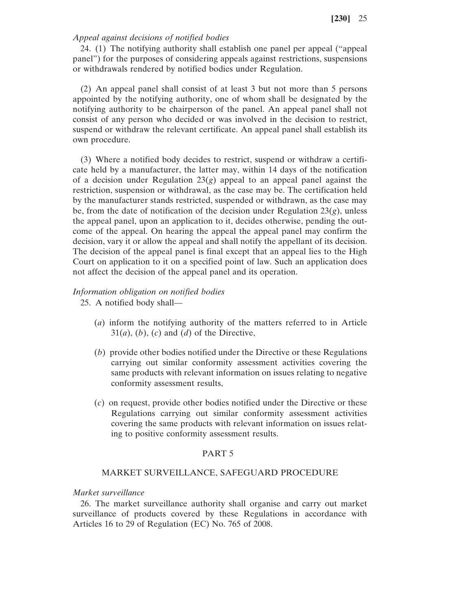# *Appeal against decisions of notified bodies*

24. (1) The notifying authority shall establish one panel per appeal ("appeal panel") for the purposes of considering appeals against restrictions, suspensions or withdrawals rendered by notified bodies under Regulation.

(2) An appeal panel shall consist of at least 3 but not more than 5 persons appointed by the notifying authority, one of whom shall be designated by the notifying authority to be chairperson of the panel. An appeal panel shall not consist of any person who decided or was involved in the decision to restrict, suspend or withdraw the relevant certificate. An appeal panel shall establish its own procedure.

(3) Where a notified body decides to restrict, suspend or withdraw a certificate held by a manufacturer, the latter may, within 14 days of the notification of a decision under Regulation  $23(g)$  appeal to an appeal panel against the restriction, suspension or withdrawal, as the case may be. The certification held by the manufacturer stands restricted, suspended or withdrawn, as the case may be, from the date of notification of the decision under Regulation  $23(g)$ , unless the appeal panel, upon an application to it, decides otherwise, pending the outcome of the appeal. On hearing the appeal the appeal panel may confirm the decision, vary it or allow the appeal and shall notify the appellant of its decision. The decision of the appeal panel is final except that an appeal lies to the High Court on application to it on a specified point of law. Such an application does not affect the decision of the appeal panel and its operation.

# *Information obligation on notified bodies*

25. A notified body shall—

- (*a*) inform the notifying authority of the matters referred to in Article  $31(a)$ ,  $(b)$ ,  $(c)$  and  $(d)$  of the Directive,
- (*b*) provide other bodies notified under the Directive or these Regulations carrying out similar conformity assessment activities covering the same products with relevant information on issues relating to negative conformity assessment results,
- (*c*) on request, provide other bodies notified under the Directive or these Regulations carrying out similar conformity assessment activities covering the same products with relevant information on issues relating to positive conformity assessment results.

### PART 5

### MARKET SURVEILLANCE, SAFEGUARD PROCEDURE

### *Market surveillance*

26. The market surveillance authority shall organise and carry out market surveillance of products covered by these Regulations in accordance with Articles 16 to 29 of Regulation (EC) No. 765 of 2008.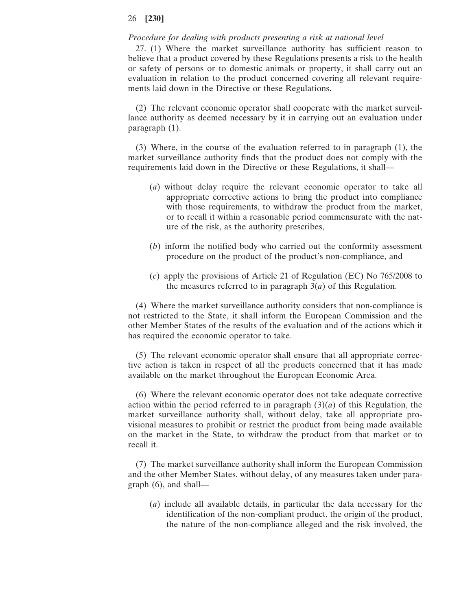### *Procedure for dealing with products presenting a risk at national level*

27. (1) Where the market surveillance authority has sufficient reason to believe that a product covered by these Regulations presents a risk to the health or safety of persons or to domestic animals or property, it shall carry out an evaluation in relation to the product concerned covering all relevant requirements laid down in the Directive or these Regulations.

(2) The relevant economic operator shall cooperate with the market surveillance authority as deemed necessary by it in carrying out an evaluation under paragraph (1).

(3) Where, in the course of the evaluation referred to in paragraph (1), the market surveillance authority finds that the product does not comply with the requirements laid down in the Directive or these Regulations, it shall—

- (*a*) without delay require the relevant economic operator to take all appropriate corrective actions to bring the product into compliance with those requirements, to withdraw the product from the market, or to recall it within a reasonable period commensurate with the nature of the risk, as the authority prescribes,
- (*b*) inform the notified body who carried out the conformity assessment procedure on the product of the product's non-compliance, and
- (*c*) apply the provisions of Article 21 of Regulation (EC) No 765/2008 to the measures referred to in paragraph 3(*a*) of this Regulation.

(4) Where the market surveillance authority considers that non-compliance is not restricted to the State, it shall inform the European Commission and the other Member States of the results of the evaluation and of the actions which it has required the economic operator to take.

(5) The relevant economic operator shall ensure that all appropriate corrective action is taken in respect of all the products concerned that it has made available on the market throughout the European Economic Area.

(6) Where the relevant economic operator does not take adequate corrective action within the period referred to in paragraph  $(3)(a)$  of this Regulation, the market surveillance authority shall, without delay, take all appropriate provisional measures to prohibit or restrict the product from being made available on the market in the State, to withdraw the product from that market or to recall it.

(7) The market surveillance authority shall inform the European Commission and the other Member States, without delay, of any measures taken under paragraph (6), and shall—

(*a*) include all available details, in particular the data necessary for the identification of the non-compliant product, the origin of the product, the nature of the non-compliance alleged and the risk involved, the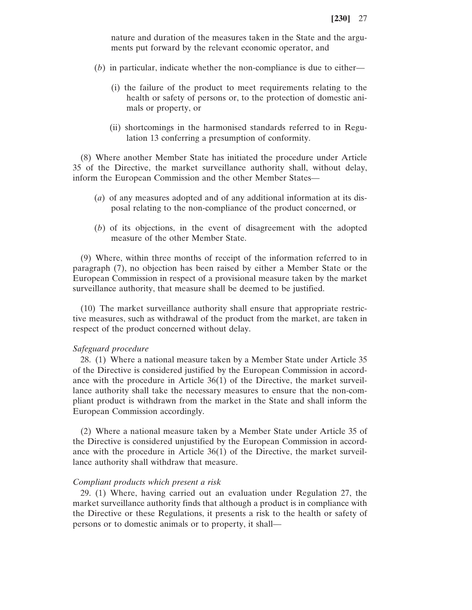nature and duration of the measures taken in the State and the arguments put forward by the relevant economic operator, and

- (*b*) in particular, indicate whether the non-compliance is due to either—
	- (i) the failure of the product to meet requirements relating to the health or safety of persons or, to the protection of domestic animals or property, or
	- (ii) shortcomings in the harmonised standards referred to in Regulation 13 conferring a presumption of conformity.

(8) Where another Member State has initiated the procedure under Article 35 of the Directive, the market surveillance authority shall, without delay, inform the European Commission and the other Member States—

- (*a*) of any measures adopted and of any additional information at its disposal relating to the non-compliance of the product concerned, or
- (*b*) of its objections, in the event of disagreement with the adopted measure of the other Member State.

(9) Where, within three months of receipt of the information referred to in paragraph (7), no objection has been raised by either a Member State or the European Commission in respect of a provisional measure taken by the market surveillance authority, that measure shall be deemed to be justified.

(10) The market surveillance authority shall ensure that appropriate restrictive measures, such as withdrawal of the product from the market, are taken in respect of the product concerned without delay.

#### *Safeguard procedure*

28. (1) Where a national measure taken by a Member State under Article 35 of the Directive is considered justified by the European Commission in accordance with the procedure in Article 36(1) of the Directive, the market surveillance authority shall take the necessary measures to ensure that the non-compliant product is withdrawn from the market in the State and shall inform the European Commission accordingly.

(2) Where a national measure taken by a Member State under Article 35 of the Directive is considered unjustified by the European Commission in accordance with the procedure in Article 36(1) of the Directive, the market surveillance authority shall withdraw that measure.

### *Compliant products which present a risk*

29. (1) Where, having carried out an evaluation under Regulation 27, the market surveillance authority finds that although a product is in compliance with the Directive or these Regulations, it presents a risk to the health or safety of persons or to domestic animals or to property, it shall—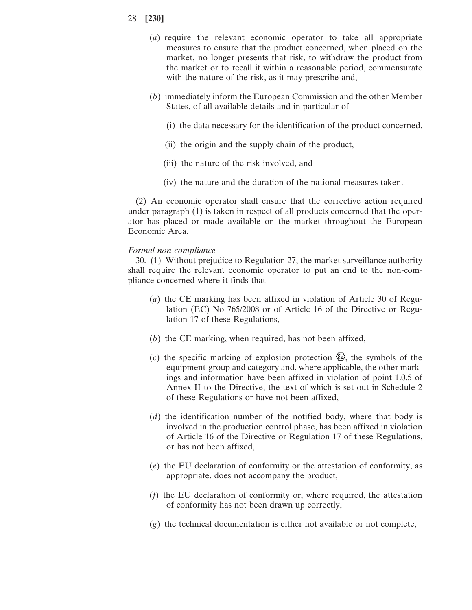- (*a*) require the relevant economic operator to take all appropriate measures to ensure that the product concerned, when placed on the market, no longer presents that risk, to withdraw the product from the market or to recall it within a reasonable period, commensurate with the nature of the risk, as it may prescribe and,
- (*b*) immediately inform the European Commission and the other Member States, of all available details and in particular of—
	- (i) the data necessary for the identification of the product concerned,
	- (ii) the origin and the supply chain of the product,
	- (iii) the nature of the risk involved, and
	- (iv) the nature and the duration of the national measures taken.

(2) An economic operator shall ensure that the corrective action required under paragraph (1) is taken in respect of all products concerned that the operator has placed or made available on the market throughout the European Economic Area.

### *Formal non-compliance*

30. (1) Without prejudice to Regulation 27, the market surveillance authority shall require the relevant economic operator to put an end to the non-compliance concerned where it finds that—

- (*a*) the CE marking has been affixed in violation of Article 30 of Regulation (EC) No 765/2008 or of Article 16 of the Directive or Regulation 17 of these Regulations,
- (*b*) the CE marking, when required, has not been affixed,
- (*c*) the specific marking of explosion protection  $\mathcal{Q}$ , the symbols of the equipment-group and category and, where applicable, the other markings and information have been affixed in violation of point 1.0.5 of Annex II to the Directive, the text of which is set out in Schedule 2 of these Regulations or have not been affixed,
- (*d*) the identification number of the notified body, where that body is involved in the production control phase, has been affixed in violation of Article 16 of the Directive or Regulation 17 of these Regulations, or has not been affixed,
- (*e*) the EU declaration of conformity or the attestation of conformity, as appropriate, does not accompany the product,
- (*f*) the EU declaration of conformity or, where required, the attestation of conformity has not been drawn up correctly,
- (*g*) the technical documentation is either not available or not complete,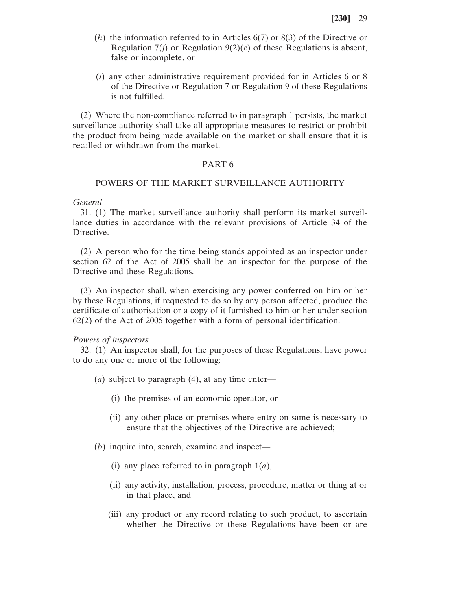- (*h*) the information referred to in Articles 6(7) or 8(3) of the Directive or Regulation  $7(i)$  or Regulation  $9(2)(c)$  of these Regulations is absent, false or incomplete, or
- (*i*) any other administrative requirement provided for in Articles 6 or 8 of the Directive or Regulation 7 or Regulation 9 of these Regulations is not fulfilled.

(2) Where the non-compliance referred to in paragraph 1 persists, the market surveillance authority shall take all appropriate measures to restrict or prohibit the product from being made available on the market or shall ensure that it is recalled or withdrawn from the market.

#### PART 6

### POWERS OF THE MARKET SURVEILLANCE AUTHORITY

#### *General*

31. (1) The market surveillance authority shall perform its market surveillance duties in accordance with the relevant provisions of Article 34 of the Directive.

(2) A person who for the time being stands appointed as an inspector under section 62 of the Act of 2005 shall be an inspector for the purpose of the Directive and these Regulations.

(3) An inspector shall, when exercising any power conferred on him or her by these Regulations, if requested to do so by any person affected, produce the certificate of authorisation or a copy of it furnished to him or her under section 62(2) of the Act of 2005 together with a form of personal identification.

### *Powers of inspectors*

32. (1) An inspector shall, for the purposes of these Regulations, have power to do any one or more of the following:

- (*a*) subject to paragraph (4), at any time enter—
	- (i) the premises of an economic operator, or
	- (ii) any other place or premises where entry on same is necessary to ensure that the objectives of the Directive are achieved;
- (*b*) inquire into, search, examine and inspect—
	- (i) any place referred to in paragraph 1(*a*),
	- (ii) any activity, installation, process, procedure, matter or thing at or in that place, and
	- (iii) any product or any record relating to such product, to ascertain whether the Directive or these Regulations have been or are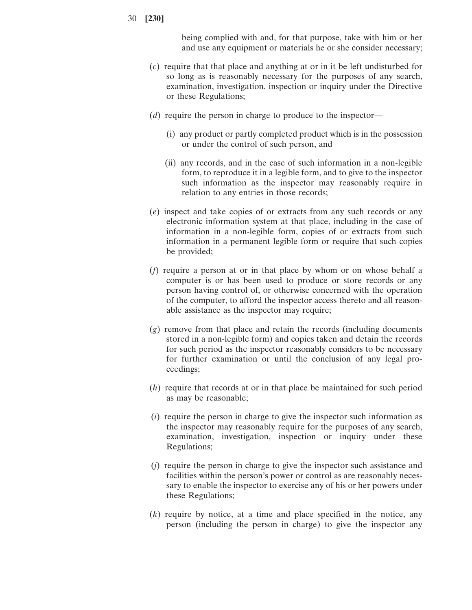being complied with and, for that purpose, take with him or her and use any equipment or materials he or she consider necessary;

- (*c*) require that that place and anything at or in it be left undisturbed for so long as is reasonably necessary for the purposes of any search, examination, investigation, inspection or inquiry under the Directive or these Regulations;
- (*d*) require the person in charge to produce to the inspector—
	- (i) any product or partly completed product which is in the possession or under the control of such person, and
	- (ii) any records, and in the case of such information in a non-legible form, to reproduce it in a legible form, and to give to the inspector such information as the inspector may reasonably require in relation to any entries in those records;
- (*e*) inspect and take copies of or extracts from any such records or any electronic information system at that place, including in the case of information in a non-legible form, copies of or extracts from such information in a permanent legible form or require that such copies be provided;
- (*f*) require a person at or in that place by whom or on whose behalf a computer is or has been used to produce or store records or any person having control of, or otherwise concerned with the operation of the computer, to afford the inspector access thereto and all reasonable assistance as the inspector may require;
- (*g*) remove from that place and retain the records (including documents stored in a non-legible form) and copies taken and detain the records for such period as the inspector reasonably considers to be necessary for further examination or until the conclusion of any legal proceedings;
- (*h*) require that records at or in that place be maintained for such period as may be reasonable;
- (*i*) require the person in charge to give the inspector such information as the inspector may reasonably require for the purposes of any search, examination, investigation, inspection or inquiry under these Regulations;
- (*j*) require the person in charge to give the inspector such assistance and facilities within the person's power or control as are reasonably necessary to enable the inspector to exercise any of his or her powers under these Regulations;
- (*k*) require by notice, at a time and place specified in the notice, any person (including the person in charge) to give the inspector any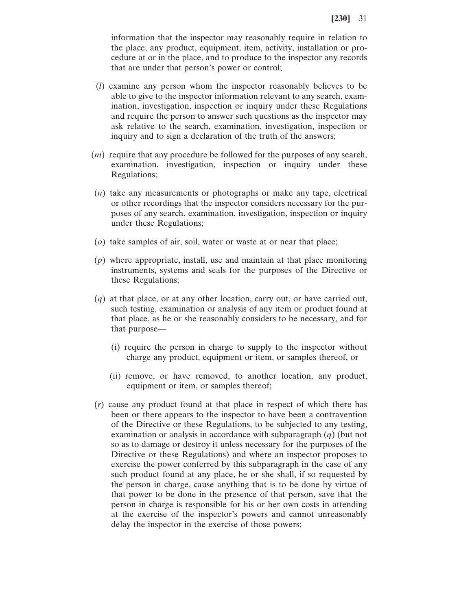information that the inspector may reasonably require in relation to the place, any product, equipment, item, activity, installation or procedure at or in the place, and to produce to the inspector any records that are under that person's power or control;

- (*l*) examine any person whom the inspector reasonably believes to be able to give to the inspector information relevant to any search, examination, investigation, inspection or inquiry under these Regulations and require the person to answer such questions as the inspector may ask relative to the search, examination, investigation, inspection or inquiry and to sign a declaration of the truth of the answers;
- (*m*) require that any procedure be followed for the purposes of any search, examination, investigation, inspection or inquiry under these Regulations;
- (*n*) take any measurements or photographs or make any tape, electrical or other recordings that the inspector considers necessary for the purposes of any search, examination, investigation, inspection or inquiry under these Regulations;
- (*o*) take samples of air, soil, water or waste at or near that place;
- (*p*) where appropriate, install, use and maintain at that place monitoring instruments, systems and seals for the purposes of the Directive or these Regulations;
- (*q*) at that place, or at any other location, carry out, or have carried out, such testing, examination or analysis of any item or product found at that place, as he or she reasonably considers to be necessary, and for that purpose—
	- (i) require the person in charge to supply to the inspector without charge any product, equipment or item, or samples thereof, or
	- (ii) remove, or have removed, to another location, any product, equipment or item, or samples thereof;
- (*r*) cause any product found at that place in respect of which there has been or there appears to the inspector to have been a contravention of the Directive or these Regulations, to be subjected to any testing, examination or analysis in accordance with subparagraph (*q*) (but not so as to damage or destroy it unless necessary for the purposes of the Directive or these Regulations) and where an inspector proposes to exercise the power conferred by this subparagraph in the case of any such product found at any place, he or she shall, if so requested by the person in charge, cause anything that is to be done by virtue of that power to be done in the presence of that person, save that the person in charge is responsible for his or her own costs in attending at the exercise of the inspector's powers and cannot unreasonably delay the inspector in the exercise of those powers;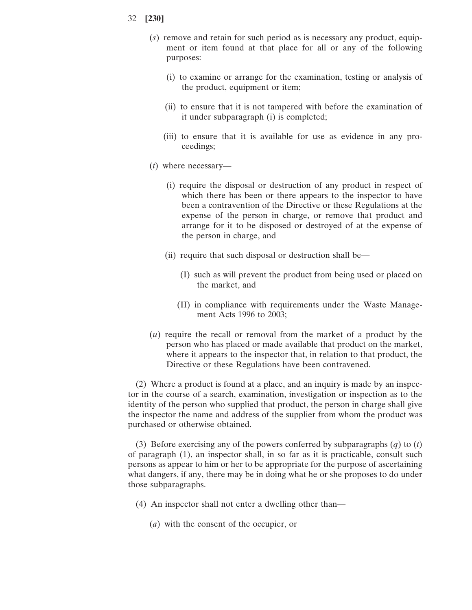- (*s*) remove and retain for such period as is necessary any product, equipment or item found at that place for all or any of the following purposes:
	- (i) to examine or arrange for the examination, testing or analysis of the product, equipment or item;
	- (ii) to ensure that it is not tampered with before the examination of it under subparagraph (i) is completed;
	- (iii) to ensure that it is available for use as evidence in any proceedings;
- (*t*) where necessary—
	- (i) require the disposal or destruction of any product in respect of which there has been or there appears to the inspector to have been a contravention of the Directive or these Regulations at the expense of the person in charge, or remove that product and arrange for it to be disposed or destroyed of at the expense of the person in charge, and
	- (ii) require that such disposal or destruction shall be—
		- (I) such as will prevent the product from being used or placed on the market, and
		- (II) in compliance with requirements under the Waste Management Acts 1996 to 2003;
- (*u*) require the recall or removal from the market of a product by the person who has placed or made available that product on the market, where it appears to the inspector that, in relation to that product, the Directive or these Regulations have been contravened.

(2) Where a product is found at a place, and an inquiry is made by an inspector in the course of a search, examination, investigation or inspection as to the identity of the person who supplied that product, the person in charge shall give the inspector the name and address of the supplier from whom the product was purchased or otherwise obtained.

(3) Before exercising any of the powers conferred by subparagraphs (*q*) to (*t*) of paragraph (1), an inspector shall, in so far as it is practicable, consult such persons as appear to him or her to be appropriate for the purpose of ascertaining what dangers, if any, there may be in doing what he or she proposes to do under those subparagraphs.

- (4) An inspector shall not enter a dwelling other than—
	- (*a*) with the consent of the occupier, or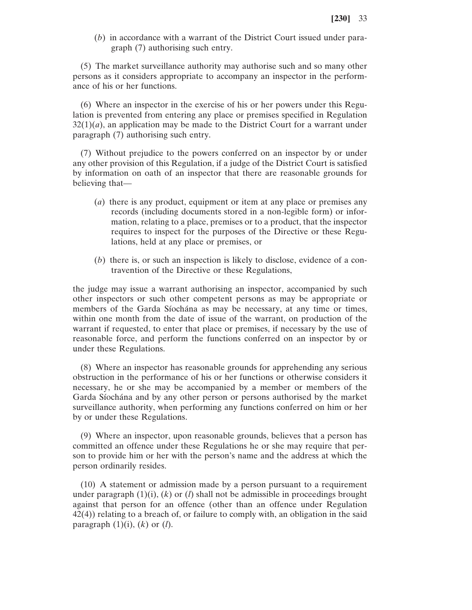(*b*) in accordance with a warrant of the District Court issued under paragraph (7) authorising such entry.

(5) The market surveillance authority may authorise such and so many other persons as it considers appropriate to accompany an inspector in the performance of his or her functions.

(6) Where an inspector in the exercise of his or her powers under this Regulation is prevented from entering any place or premises specified in Regulation  $32(1)(a)$ , an application may be made to the District Court for a warrant under paragraph (7) authorising such entry.

(7) Without prejudice to the powers conferred on an inspector by or under any other provision of this Regulation, if a judge of the District Court is satisfied by information on oath of an inspector that there are reasonable grounds for believing that—

- (*a*) there is any product, equipment or item at any place or premises any records (including documents stored in a non-legible form) or information, relating to a place, premises or to a product, that the inspector requires to inspect for the purposes of the Directive or these Regulations, held at any place or premises, or
- (*b*) there is, or such an inspection is likely to disclose, evidence of a contravention of the Directive or these Regulations,

the judge may issue a warrant authorising an inspector, accompanied by such other inspectors or such other competent persons as may be appropriate or members of the Garda Síochána as may be necessary, at any time or times, within one month from the date of issue of the warrant, on production of the warrant if requested, to enter that place or premises, if necessary by the use of reasonable force, and perform the functions conferred on an inspector by or under these Regulations.

(8) Where an inspector has reasonable grounds for apprehending any serious obstruction in the performance of his or her functions or otherwise considers it necessary, he or she may be accompanied by a member or members of the Garda Síochána and by any other person or persons authorised by the market surveillance authority, when performing any functions conferred on him or her by or under these Regulations.

(9) Where an inspector, upon reasonable grounds, believes that a person has committed an offence under these Regulations he or she may require that person to provide him or her with the person's name and the address at which the person ordinarily resides.

(10) A statement or admission made by a person pursuant to a requirement under paragraph  $(1)(i)$ ,  $(k)$  or  $(l)$  shall not be admissible in proceedings brought against that person for an offence (other than an offence under Regulation 42(4)) relating to a breach of, or failure to comply with, an obligation in the said paragraph  $(1)(i)$ ,  $(k)$  or  $(l)$ .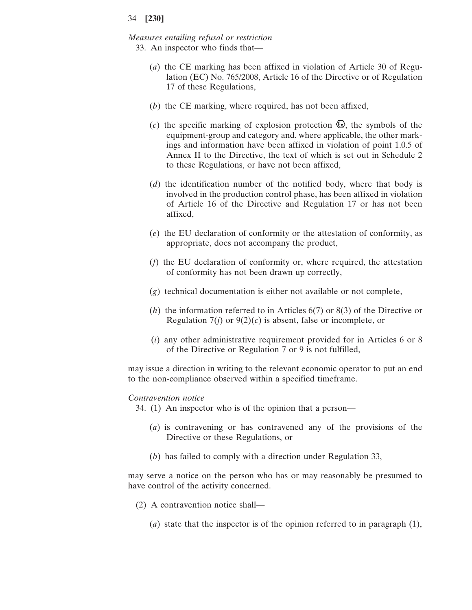# *Measures entailing refusal or restriction*

- 33. An inspector who finds that—
	- (*a*) the CE marking has been affixed in violation of Article 30 of Regulation (EC) No. 765/2008, Article 16 of the Directive or of Regulation 17 of these Regulations,
	- (*b*) the CE marking, where required, has not been affixed,
	- (*c*) the specific marking of explosion protection  $\mathcal{Q}$ , the symbols of the equipment-group and category and, where applicable, the other markings and information have been affixed in violation of point 1.0.5 of Annex II to the Directive, the text of which is set out in Schedule 2 to these Regulations, or have not been affixed,
	- (*d*) the identification number of the notified body, where that body is involved in the production control phase, has been affixed in violation of Article 16 of the Directive and Regulation 17 or has not been affixed,
	- (*e*) the EU declaration of conformity or the attestation of conformity, as appropriate, does not accompany the product,
	- (*f*) the EU declaration of conformity or, where required, the attestation of conformity has not been drawn up correctly,
	- (*g*) technical documentation is either not available or not complete,
	- (*h*) the information referred to in Articles 6(7) or 8(3) of the Directive or Regulation  $7(j)$  or  $9(2)(c)$  is absent, false or incomplete, or
	- (*i*) any other administrative requirement provided for in Articles 6 or 8 of the Directive or Regulation 7 or 9 is not fulfilled,

may issue a direction in writing to the relevant economic operator to put an end to the non-compliance observed within a specified timeframe.

#### *Contravention notice*

34. (1) An inspector who is of the opinion that a person—

- (*a*) is contravening or has contravened any of the provisions of the Directive or these Regulations, or
- (*b*) has failed to comply with a direction under Regulation 33,

may serve a notice on the person who has or may reasonably be presumed to have control of the activity concerned.

- (2) A contravention notice shall—
	- (*a*) state that the inspector is of the opinion referred to in paragraph (1),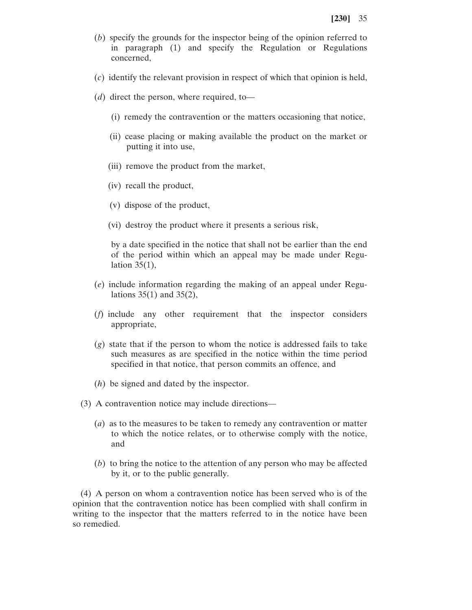- (*b*) specify the grounds for the inspector being of the opinion referred to in paragraph (1) and specify the Regulation or Regulations concerned,
- (*c*) identify the relevant provision in respect of which that opinion is held,
- (*d*) direct the person, where required, to—
	- (i) remedy the contravention or the matters occasioning that notice,
	- (ii) cease placing or making available the product on the market or putting it into use,
	- (iii) remove the product from the market,
	- (iv) recall the product,
	- (v) dispose of the product,
	- (vi) destroy the product where it presents a serious risk,

by a date specified in the notice that shall not be earlier than the end of the period within which an appeal may be made under Regulation 35(1),

- (*e*) include information regarding the making of an appeal under Regulations  $35(1)$  and  $35(2)$ ,
- (*f*) include any other requirement that the inspector considers appropriate,
- (*g*) state that if the person to whom the notice is addressed fails to take such measures as are specified in the notice within the time period specified in that notice, that person commits an offence, and
- (*h*) be signed and dated by the inspector.
- (3) A contravention notice may include directions—
	- (*a*) as to the measures to be taken to remedy any contravention or matter to which the notice relates, or to otherwise comply with the notice, and
	- (*b*) to bring the notice to the attention of any person who may be affected by it, or to the public generally.

(4) A person on whom a contravention notice has been served who is of the opinion that the contravention notice has been complied with shall confirm in writing to the inspector that the matters referred to in the notice have been so remedied.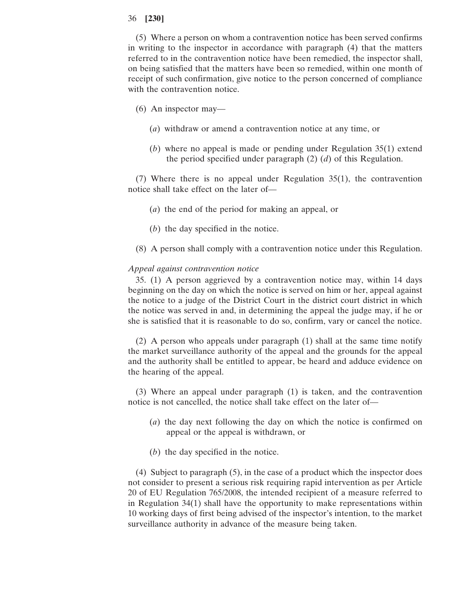(5) Where a person on whom a contravention notice has been served confirms in writing to the inspector in accordance with paragraph (4) that the matters referred to in the contravention notice have been remedied, the inspector shall, on being satisfied that the matters have been so remedied, within one month of receipt of such confirmation, give notice to the person concerned of compliance with the contravention notice.

- (6) An inspector may—
	- (*a*) withdraw or amend a contravention notice at any time, or
	- (*b*) where no appeal is made or pending under Regulation 35(1) extend the period specified under paragraph (2) (*d*) of this Regulation.

(7) Where there is no appeal under Regulation 35(1), the contravention notice shall take effect on the later of—

- (*a*) the end of the period for making an appeal, or
- (*b*) the day specified in the notice.
- (8) A person shall comply with a contravention notice under this Regulation.

#### *Appeal against contravention notice*

35. (1) A person aggrieved by a contravention notice may, within 14 days beginning on the day on which the notice is served on him or her, appeal against the notice to a judge of the District Court in the district court district in which the notice was served in and, in determining the appeal the judge may, if he or she is satisfied that it is reasonable to do so, confirm, vary or cancel the notice.

(2) A person who appeals under paragraph (1) shall at the same time notify the market surveillance authority of the appeal and the grounds for the appeal and the authority shall be entitled to appear, be heard and adduce evidence on the hearing of the appeal.

(3) Where an appeal under paragraph (1) is taken, and the contravention notice is not cancelled, the notice shall take effect on the later of—

- (*a*) the day next following the day on which the notice is confirmed on appeal or the appeal is withdrawn, or
- (*b*) the day specified in the notice.

(4) Subject to paragraph (5), in the case of a product which the inspector does not consider to present a serious risk requiring rapid intervention as per Article 20 of EU Regulation 765/2008, the intended recipient of a measure referred to in Regulation 34(1) shall have the opportunity to make representations within 10 working days of first being advised of the inspector's intention, to the market surveillance authority in advance of the measure being taken.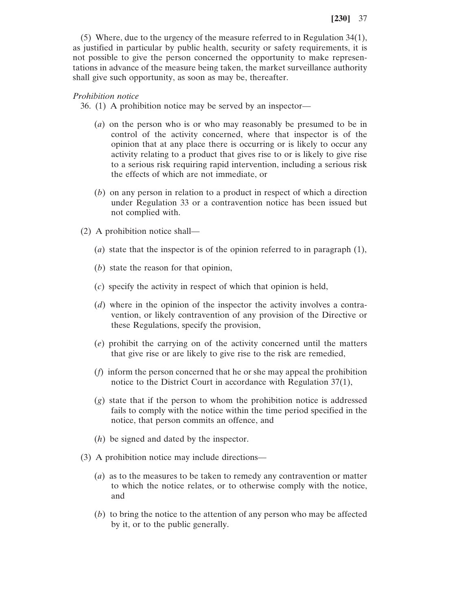(5) Where, due to the urgency of the measure referred to in Regulation 34(1), as justified in particular by public health, security or safety requirements, it is not possible to give the person concerned the opportunity to make representations in advance of the measure being taken, the market surveillance authority shall give such opportunity, as soon as may be, thereafter.

#### *Prohibition notice*

36. (1) A prohibition notice may be served by an inspector—

- (*a*) on the person who is or who may reasonably be presumed to be in control of the activity concerned, where that inspector is of the opinion that at any place there is occurring or is likely to occur any activity relating to a product that gives rise to or is likely to give rise to a serious risk requiring rapid intervention, including a serious risk the effects of which are not immediate, or
- (*b*) on any person in relation to a product in respect of which a direction under Regulation 33 or a contravention notice has been issued but not complied with.
- (2) A prohibition notice shall—
	- (*a*) state that the inspector is of the opinion referred to in paragraph (1),
	- (*b*) state the reason for that opinion,
	- (*c*) specify the activity in respect of which that opinion is held,
	- (*d*) where in the opinion of the inspector the activity involves a contravention, or likely contravention of any provision of the Directive or these Regulations, specify the provision,
	- (*e*) prohibit the carrying on of the activity concerned until the matters that give rise or are likely to give rise to the risk are remedied,
	- (*f*) inform the person concerned that he or she may appeal the prohibition notice to the District Court in accordance with Regulation 37(1),
	- (*g*) state that if the person to whom the prohibition notice is addressed fails to comply with the notice within the time period specified in the notice, that person commits an offence, and
	- (*h*) be signed and dated by the inspector.
- (3) A prohibition notice may include directions—
	- (*a*) as to the measures to be taken to remedy any contravention or matter to which the notice relates, or to otherwise comply with the notice, and
	- (*b*) to bring the notice to the attention of any person who may be affected by it, or to the public generally.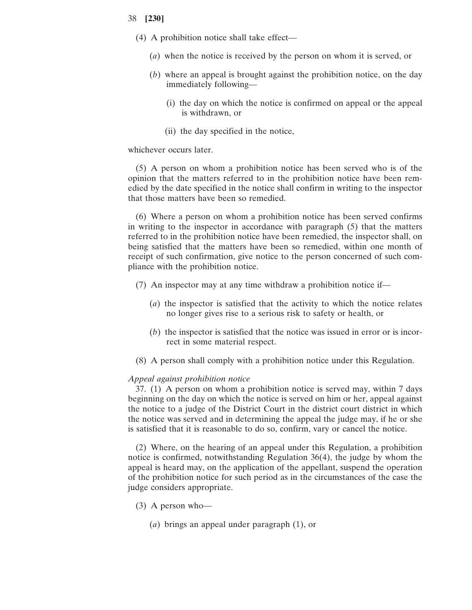- (4) A prohibition notice shall take effect—
	- (*a*) when the notice is received by the person on whom it is served, or
	- (*b*) where an appeal is brought against the prohibition notice, on the day immediately following—
		- (i) the day on which the notice is confirmed on appeal or the appeal is withdrawn, or
		- (ii) the day specified in the notice,

### whichever occurs later.

(5) A person on whom a prohibition notice has been served who is of the opinion that the matters referred to in the prohibition notice have been remedied by the date specified in the notice shall confirm in writing to the inspector that those matters have been so remedied.

(6) Where a person on whom a prohibition notice has been served confirms in writing to the inspector in accordance with paragraph (5) that the matters referred to in the prohibition notice have been remedied, the inspector shall, on being satisfied that the matters have been so remedied, within one month of receipt of such confirmation, give notice to the person concerned of such compliance with the prohibition notice.

- (7) An inspector may at any time withdraw a prohibition notice if—
	- (*a*) the inspector is satisfied that the activity to which the notice relates no longer gives rise to a serious risk to safety or health, or
	- (*b*) the inspector is satisfied that the notice was issued in error or is incorrect in some material respect.
- (8) A person shall comply with a prohibition notice under this Regulation.

#### *Appeal against prohibition notice*

37. (1) A person on whom a prohibition notice is served may, within 7 days beginning on the day on which the notice is served on him or her, appeal against the notice to a judge of the District Court in the district court district in which the notice was served and in determining the appeal the judge may, if he or she is satisfied that it is reasonable to do so, confirm, vary or cancel the notice.

(2) Where, on the hearing of an appeal under this Regulation, a prohibition notice is confirmed, notwithstanding Regulation 36(4), the judge by whom the appeal is heard may, on the application of the appellant, suspend the operation of the prohibition notice for such period as in the circumstances of the case the judge considers appropriate.

- (3) A person who—
	- (*a*) brings an appeal under paragraph (1), or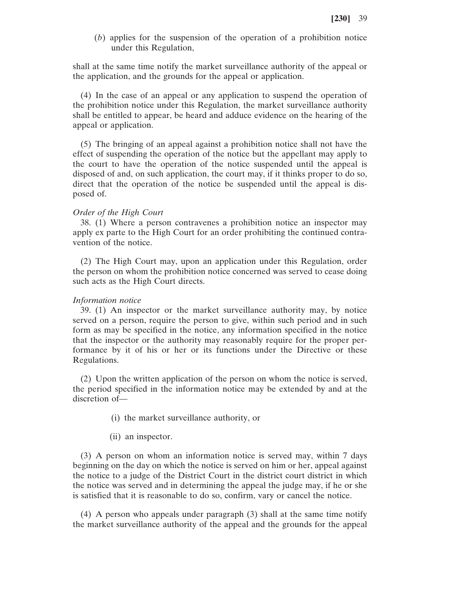(*b*) applies for the suspension of the operation of a prohibition notice under this Regulation,

shall at the same time notify the market surveillance authority of the appeal or the application, and the grounds for the appeal or application.

(4) In the case of an appeal or any application to suspend the operation of the prohibition notice under this Regulation, the market surveillance authority shall be entitled to appear, be heard and adduce evidence on the hearing of the appeal or application.

(5) The bringing of an appeal against a prohibition notice shall not have the effect of suspending the operation of the notice but the appellant may apply to the court to have the operation of the notice suspended until the appeal is disposed of and, on such application, the court may, if it thinks proper to do so, direct that the operation of the notice be suspended until the appeal is disposed of.

### *Order of the High Court*

38. (1) Where a person contravenes a prohibition notice an inspector may apply ex parte to the High Court for an order prohibiting the continued contravention of the notice.

(2) The High Court may, upon an application under this Regulation, order the person on whom the prohibition notice concerned was served to cease doing such acts as the High Court directs.

#### *Information notice*

39. (1) An inspector or the market surveillance authority may, by notice served on a person, require the person to give, within such period and in such form as may be specified in the notice, any information specified in the notice that the inspector or the authority may reasonably require for the proper performance by it of his or her or its functions under the Directive or these Regulations.

(2) Upon the written application of the person on whom the notice is served, the period specified in the information notice may be extended by and at the discretion of—

- (i) the market surveillance authority, or
- (ii) an inspector.

(3) A person on whom an information notice is served may, within 7 days beginning on the day on which the notice is served on him or her, appeal against the notice to a judge of the District Court in the district court district in which the notice was served and in determining the appeal the judge may, if he or she is satisfied that it is reasonable to do so, confirm, vary or cancel the notice.

(4) A person who appeals under paragraph (3) shall at the same time notify the market surveillance authority of the appeal and the grounds for the appeal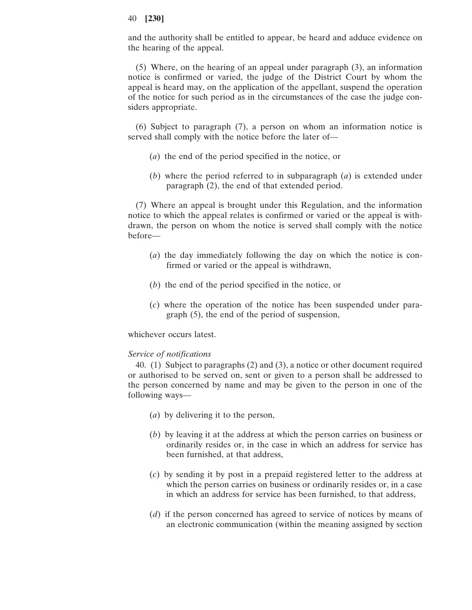and the authority shall be entitled to appear, be heard and adduce evidence on the hearing of the appeal.

(5) Where, on the hearing of an appeal under paragraph (3), an information notice is confirmed or varied, the judge of the District Court by whom the appeal is heard may, on the application of the appellant, suspend the operation of the notice for such period as in the circumstances of the case the judge considers appropriate.

(6) Subject to paragraph (7), a person on whom an information notice is served shall comply with the notice before the later of—

- (*a*) the end of the period specified in the notice, or
- (*b*) where the period referred to in subparagraph (*a*) is extended under paragraph (2), the end of that extended period.

(7) Where an appeal is brought under this Regulation, and the information notice to which the appeal relates is confirmed or varied or the appeal is withdrawn, the person on whom the notice is served shall comply with the notice before—

- (*a*) the day immediately following the day on which the notice is confirmed or varied or the appeal is withdrawn,
- (*b*) the end of the period specified in the notice, or
- (*c*) where the operation of the notice has been suspended under paragraph (5), the end of the period of suspension,

whichever occurs latest.

### *Service of notifications*

40. (1) Subject to paragraphs (2) and (3), a notice or other document required or authorised to be served on, sent or given to a person shall be addressed to the person concerned by name and may be given to the person in one of the following ways—

- (*a*) by delivering it to the person,
- (*b*) by leaving it at the address at which the person carries on business or ordinarily resides or, in the case in which an address for service has been furnished, at that address,
- (*c*) by sending it by post in a prepaid registered letter to the address at which the person carries on business or ordinarily resides or, in a case in which an address for service has been furnished, to that address,
- (*d*) if the person concerned has agreed to service of notices by means of an electronic communication (within the meaning assigned by section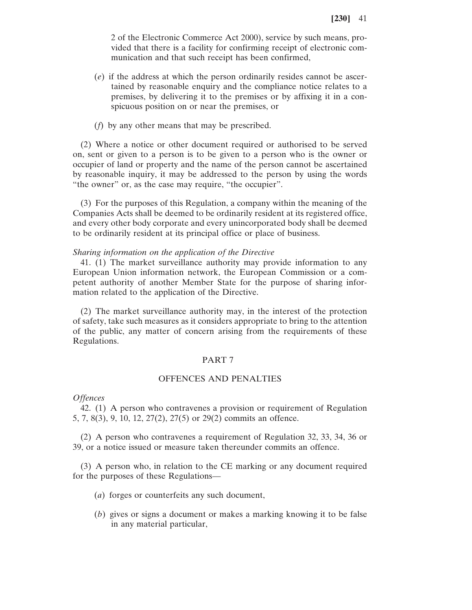2 of the Electronic Commerce Act 2000), service by such means, provided that there is a facility for confirming receipt of electronic communication and that such receipt has been confirmed,

- (*e*) if the address at which the person ordinarily resides cannot be ascertained by reasonable enquiry and the compliance notice relates to a premises, by delivering it to the premises or by affixing it in a conspicuous position on or near the premises, or
- (*f*) by any other means that may be prescribed.

(2) Where a notice or other document required or authorised to be served on, sent or given to a person is to be given to a person who is the owner or occupier of land or property and the name of the person cannot be ascertained by reasonable inquiry, it may be addressed to the person by using the words "the owner" or, as the case may require, "the occupier".

(3) For the purposes of this Regulation, a company within the meaning of the Companies Acts shall be deemed to be ordinarily resident at its registered office, and every other body corporate and every unincorporated body shall be deemed to be ordinarily resident at its principal office or place of business.

#### *Sharing information on the application of the Directive*

41. (1) The market surveillance authority may provide information to any European Union information network, the European Commission or a competent authority of another Member State for the purpose of sharing information related to the application of the Directive.

(2) The market surveillance authority may, in the interest of the protection of safety, take such measures as it considers appropriate to bring to the attention of the public, any matter of concern arising from the requirements of these Regulations.

#### PART 7

### OFFENCES AND PENALTIES

#### *Offences*

42. (1) A person who contravenes a provision or requirement of Regulation 5, 7, 8(3), 9, 10, 12, 27(2), 27(5) or 29(2) commits an offence.

(2) A person who contravenes a requirement of Regulation 32, 33, 34, 36 or 39, or a notice issued or measure taken thereunder commits an offence.

(3) A person who, in relation to the CE marking or any document required for the purposes of these Regulations—

- (*a*) forges or counterfeits any such document,
- (*b*) gives or signs a document or makes a marking knowing it to be false in any material particular,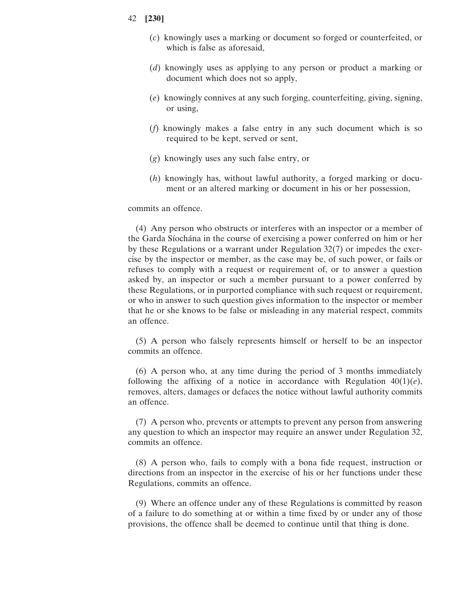- (*c*) knowingly uses a marking or document so forged or counterfeited, or which is false as aforesaid,
- (*d*) knowingly uses as applying to any person or product a marking or document which does not so apply,
- (*e*) knowingly connives at any such forging, counterfeiting, giving, signing, or using,
- (*f*) knowingly makes a false entry in any such document which is so required to be kept, served or sent,
- (*g*) knowingly uses any such false entry, or
- (*h*) knowingly has, without lawful authority, a forged marking or document or an altered marking or document in his or her possession,

### commits an offence.

(4) Any person who obstructs or interferes with an inspector or a member of the Garda Síochána in the course of exercising a power conferred on him or her by these Regulations or a warrant under Regulation 32(7) or impedes the exercise by the inspector or member, as the case may be, of such power, or fails or refuses to comply with a request or requirement of, or to answer a question asked by, an inspector or such a member pursuant to a power conferred by these Regulations, or in purported compliance with such request or requirement, or who in answer to such question gives information to the inspector or member that he or she knows to be false or misleading in any material respect, commits an offence.

(5) A person who falsely represents himself or herself to be an inspector commits an offence.

(6) A person who, at any time during the period of 3 months immediately following the affixing of a notice in accordance with Regulation  $40(1)(e)$ , removes, alters, damages or defaces the notice without lawful authority commits an offence.

(7) A person who, prevents or attempts to prevent any person from answering any question to which an inspector may require an answer under Regulation 32, commits an offence.

(8) A person who, fails to comply with a bona fide request, instruction or directions from an inspector in the exercise of his or her functions under these Regulations, commits an offence.

(9) Where an offence under any of these Regulations is committed by reason of a failure to do something at or within a time fixed by or under any of those provisions, the offence shall be deemed to continue until that thing is done.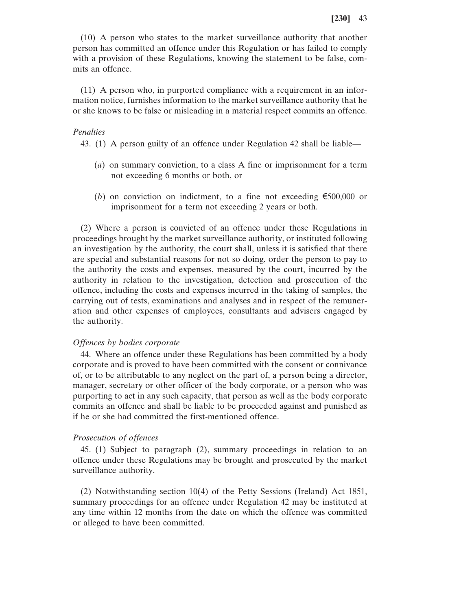(10) A person who states to the market surveillance authority that another person has committed an offence under this Regulation or has failed to comply with a provision of these Regulations, knowing the statement to be false, commits an offence.

(11) A person who, in purported compliance with a requirement in an information notice, furnishes information to the market surveillance authority that he or she knows to be false or misleading in a material respect commits an offence.

#### *Penalties*

43. (1) A person guilty of an offence under Regulation 42 shall be liable—

- (*a*) on summary conviction, to a class A fine or imprisonment for a term not exceeding 6 months or both, or
- (*b*) on conviction on indictment, to a fine not exceeding  $\epsilon$ 500,000 or imprisonment for a term not exceeding 2 years or both.

(2) Where a person is convicted of an offence under these Regulations in proceedings brought by the market surveillance authority, or instituted following an investigation by the authority, the court shall, unless it is satisfied that there are special and substantial reasons for not so doing, order the person to pay to the authority the costs and expenses, measured by the court, incurred by the authority in relation to the investigation, detection and prosecution of the offence, including the costs and expenses incurred in the taking of samples, the carrying out of tests, examinations and analyses and in respect of the remuneration and other expenses of employees, consultants and advisers engaged by the authority.

#### *Offences by bodies corporate*

44. Where an offence under these Regulations has been committed by a body corporate and is proved to have been committed with the consent or connivance of, or to be attributable to any neglect on the part of, a person being a director, manager, secretary or other officer of the body corporate, or a person who was purporting to act in any such capacity, that person as well as the body corporate commits an offence and shall be liable to be proceeded against and punished as if he or she had committed the first-mentioned offence.

### *Prosecution of offences*

45. (1) Subject to paragraph (2), summary proceedings in relation to an offence under these Regulations may be brought and prosecuted by the market surveillance authority.

(2) Notwithstanding section 10(4) of the Petty Sessions (Ireland) Act 1851, summary proceedings for an offence under Regulation 42 may be instituted at any time within 12 months from the date on which the offence was committed or alleged to have been committed.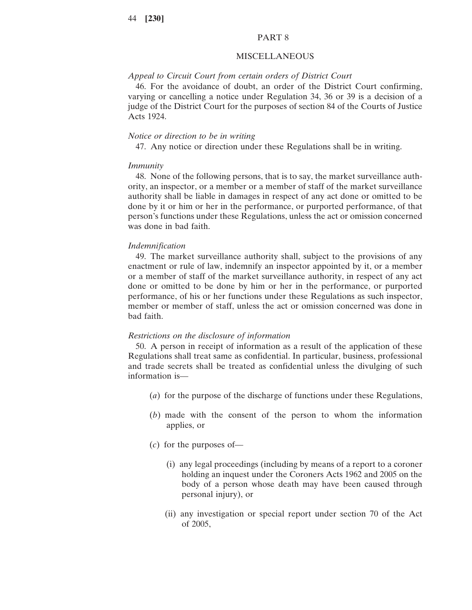#### PART 8

#### MISCELLANEOUS

#### *Appeal to Circuit Court from certain orders of District Court*

46. For the avoidance of doubt, an order of the District Court confirming, varying or cancelling a notice under Regulation 34, 36 or 39 is a decision of a judge of the District Court for the purposes of section 84 of the Courts of Justice Acts 1924.

#### *Notice or direction to be in writing*

47. Any notice or direction under these Regulations shall be in writing.

#### *Immunity*

48. None of the following persons, that is to say, the market surveillance authority, an inspector, or a member or a member of staff of the market surveillance authority shall be liable in damages in respect of any act done or omitted to be done by it or him or her in the performance, or purported performance, of that person's functions under these Regulations, unless the act or omission concerned was done in bad faith.

#### *Indemnification*

49. The market surveillance authority shall, subject to the provisions of any enactment or rule of law, indemnify an inspector appointed by it, or a member or a member of staff of the market surveillance authority, in respect of any act done or omitted to be done by him or her in the performance, or purported performance, of his or her functions under these Regulations as such inspector, member or member of staff, unless the act or omission concerned was done in bad faith.

#### *Restrictions on the disclosure of information*

50. A person in receipt of information as a result of the application of these Regulations shall treat same as confidential. In particular, business, professional and trade secrets shall be treated as confidential unless the divulging of such information is—

- (*a*) for the purpose of the discharge of functions under these Regulations,
- (*b*) made with the consent of the person to whom the information applies, or
- (*c*) for the purposes of—
	- (i) any legal proceedings (including by means of a report to a coroner holding an inquest under the Coroners Acts 1962 and 2005 on the body of a person whose death may have been caused through personal injury), or
	- (ii) any investigation or special report under section 70 of the Act of 2005,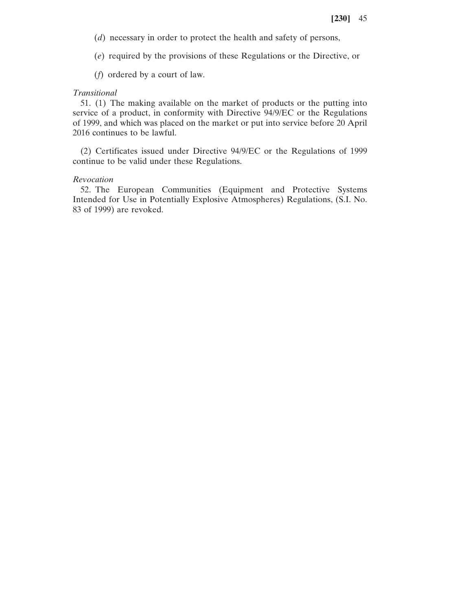(*d*) necessary in order to protect the health and safety of persons,

(*e*) required by the provisions of these Regulations or the Directive, or

(*f*) ordered by a court of law.

### *Transitional*

51. (1) The making available on the market of products or the putting into service of a product, in conformity with Directive 94/9/EC or the Regulations of 1999, and which was placed on the market or put into service before 20 April 2016 continues to be lawful.

(2) Certificates issued under Directive 94/9/EC or the Regulations of 1999 continue to be valid under these Regulations.

#### *Revocation*

52. The European Communities (Equipment and Protective Systems Intended for Use in Potentially Explosive Atmospheres) Regulations, (S.I. No. 83 of 1999) are revoked.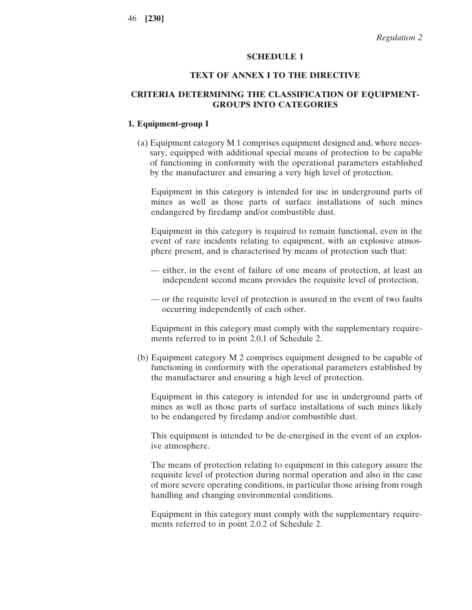#### **SCHEDULE 1**

## **TEXT OF ANNEX I TO THE DIRECTIVE**

# **CRITERIA DETERMINING THE CLASSIFICATION OF EQUIPMENT-GROUPS INTO CATEGORIES**

# **1. Equipment-group I**

(a) Equipment category M 1 comprises equipment designed and, where necessary, equipped with additional special means of protection to be capable of functioning in conformity with the operational parameters established by the manufacturer and ensuring a very high level of protection.

Equipment in this category is intended for use in underground parts of mines as well as those parts of surface installations of such mines endangered by firedamp and/or combustible dust.

Equipment in this category is required to remain functional, even in the event of rare incidents relating to equipment, with an explosive atmosphere present, and is characterised by means of protection such that:

- either, in the event of failure of one means of protection, at least an independent second means provides the requisite level of protection,
- or the requisite level of protection is assured in the event of two faults occurring independently of each other.

Equipment in this category must comply with the supplementary requirements referred to in point 2.0.1 of Schedule 2.

(b) Equipment category M 2 comprises equipment designed to be capable of functioning in conformity with the operational parameters established by the manufacturer and ensuring a high level of protection.

Equipment in this category is intended for use in underground parts of mines as well as those parts of surface installations of such mines likely to be endangered by firedamp and/or combustible dust.

This equipment is intended to be de-energised in the event of an explosive atmosphere.

The means of protection relating to equipment in this category assure the requisite level of protection during normal operation and also in the case of more severe operating conditions, in particular those arising from rough handling and changing environmental conditions.

Equipment in this category must comply with the supplementary requirements referred to in point 2.0.2 of Schedule 2.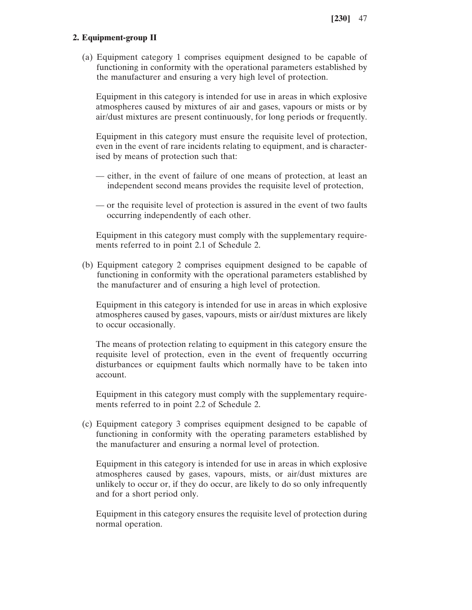# **2. Equipment-group II**

(a) Equipment category 1 comprises equipment designed to be capable of functioning in conformity with the operational parameters established by the manufacturer and ensuring a very high level of protection.

Equipment in this category is intended for use in areas in which explosive atmospheres caused by mixtures of air and gases, vapours or mists or by air/dust mixtures are present continuously, for long periods or frequently.

Equipment in this category must ensure the requisite level of protection, even in the event of rare incidents relating to equipment, and is characterised by means of protection such that:

- either, in the event of failure of one means of protection, at least an independent second means provides the requisite level of protection,
- or the requisite level of protection is assured in the event of two faults occurring independently of each other.

Equipment in this category must comply with the supplementary requirements referred to in point 2.1 of Schedule 2.

(b) Equipment category 2 comprises equipment designed to be capable of functioning in conformity with the operational parameters established by the manufacturer and of ensuring a high level of protection.

Equipment in this category is intended for use in areas in which explosive atmospheres caused by gases, vapours, mists or air/dust mixtures are likely to occur occasionally.

The means of protection relating to equipment in this category ensure the requisite level of protection, even in the event of frequently occurring disturbances or equipment faults which normally have to be taken into account.

Equipment in this category must comply with the supplementary requirements referred to in point 2.2 of Schedule 2.

(c) Equipment category 3 comprises equipment designed to be capable of functioning in conformity with the operating parameters established by the manufacturer and ensuring a normal level of protection.

Equipment in this category is intended for use in areas in which explosive atmospheres caused by gases, vapours, mists, or air/dust mixtures are unlikely to occur or, if they do occur, are likely to do so only infrequently and for a short period only.

Equipment in this category ensures the requisite level of protection during normal operation.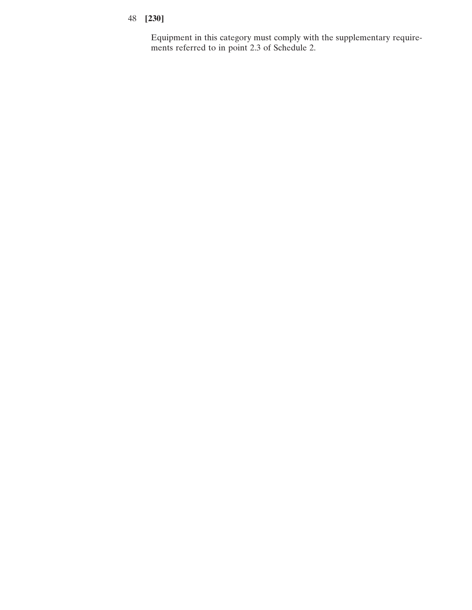Equipment in this category must comply with the supplementary requirements referred to in point 2.3 of Schedule 2.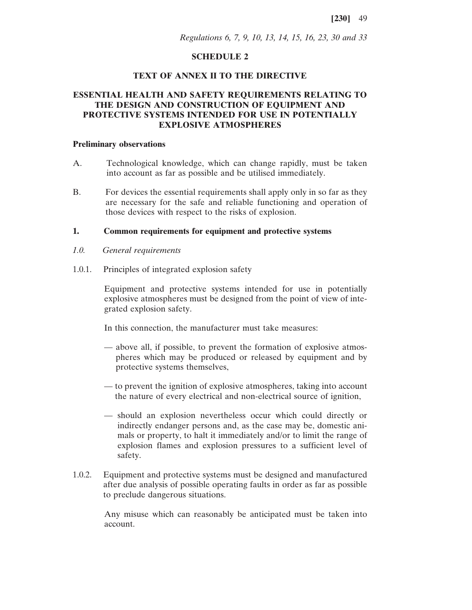*Regulations 6, 7, 9, 10, 13, 14, 15, 16, 23, 30 and 33*

## **SCHEDULE 2**

### **TEXT OF ANNEX II TO THE DIRECTIVE**

# **ESSENTIAL HEALTH AND SAFETY REQUIREMENTS RELATING TO THE DESIGN AND CONSTRUCTION OF EQUIPMENT AND PROTECTIVE SYSTEMS INTENDED FOR USE IN POTENTIALLY EXPLOSIVE ATMOSPHERES**

#### **Preliminary observations**

- A. Technological knowledge, which can change rapidly, must be taken into account as far as possible and be utilised immediately.
- B. For devices the essential requirements shall apply only in so far as they are necessary for the safe and reliable functioning and operation of those devices with respect to the risks of explosion.

# **1. Common requirements for equipment and protective systems**

- *1.0. General requirements*
- 1.0.1. Principles of integrated explosion safety

Equipment and protective systems intended for use in potentially explosive atmospheres must be designed from the point of view of integrated explosion safety.

In this connection, the manufacturer must take measures:

- above all, if possible, to prevent the formation of explosive atmospheres which may be produced or released by equipment and by protective systems themselves,
- to prevent the ignition of explosive atmospheres, taking into account the nature of every electrical and non-electrical source of ignition,
- should an explosion nevertheless occur which could directly or indirectly endanger persons and, as the case may be, domestic animals or property, to halt it immediately and/or to limit the range of explosion flames and explosion pressures to a sufficient level of safety.
- 1.0.2. Equipment and protective systems must be designed and manufactured after due analysis of possible operating faults in order as far as possible to preclude dangerous situations.

Any misuse which can reasonably be anticipated must be taken into account.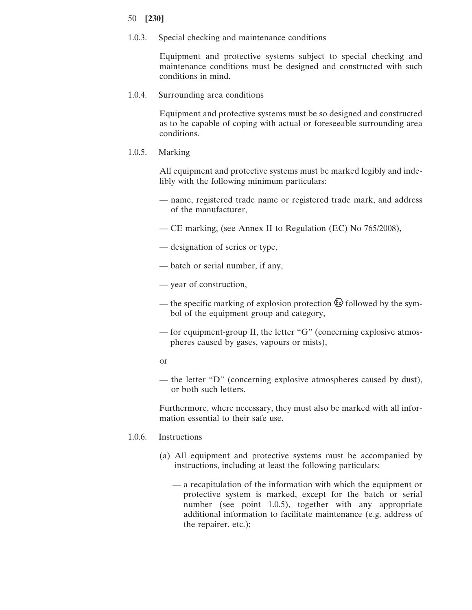1.0.3. Special checking and maintenance conditions

Equipment and protective systems subject to special checking and maintenance conditions must be designed and constructed with such conditions in mind.

1.0.4. Surrounding area conditions

Equipment and protective systems must be so designed and constructed as to be capable of coping with actual or foreseeable surrounding area conditions.

1.0.5. Marking

All equipment and protective systems must be marked legibly and indelibly with the following minimum particulars:

- name, registered trade name or registered trade mark, and address of the manufacturer,
- CE marking, (see Annex II to Regulation (EC) No 765/2008),
- designation of series or type,
- batch or serial number, if any,
- year of construction,
- the specific marking of explosion protection  $\circled{2}$  followed by the symbol of the equipment group and category,
- for equipment-group II, the letter "G" (concerning explosive atmospheres caused by gases, vapours or mists),
- or
- the letter "D" (concerning explosive atmospheres caused by dust), or both such letters.

Furthermore, where necessary, they must also be marked with all information essential to their safe use.

- 1.0.6. Instructions
	- (a) All equipment and protective systems must be accompanied by instructions, including at least the following particulars:
		- a recapitulation of the information with which the equipment or protective system is marked, except for the batch or serial number (see point 1.0.5), together with any appropriate additional information to facilitate maintenance (e.g. address of the repairer, etc.);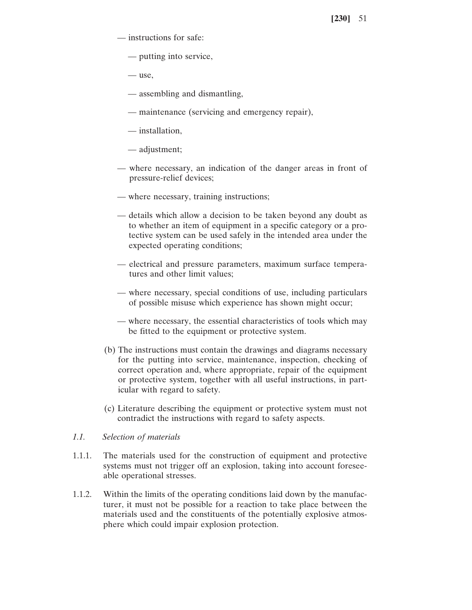- instructions for safe:
	- putting into service,
	- use,
	- assembling and dismantling,
	- maintenance (servicing and emergency repair),
	- installation,
	- adjustment;
- where necessary, an indication of the danger areas in front of pressure-relief devices;
- where necessary, training instructions;
- details which allow a decision to be taken beyond any doubt as to whether an item of equipment in a specific category or a protective system can be used safely in the intended area under the expected operating conditions;
- electrical and pressure parameters, maximum surface temperatures and other limit values;
- where necessary, special conditions of use, including particulars of possible misuse which experience has shown might occur;
- where necessary, the essential characteristics of tools which may be fitted to the equipment or protective system.
- (b) The instructions must contain the drawings and diagrams necessary for the putting into service, maintenance, inspection, checking of correct operation and, where appropriate, repair of the equipment or protective system, together with all useful instructions, in particular with regard to safety.
- (c) Literature describing the equipment or protective system must not contradict the instructions with regard to safety aspects.

# *1.1. Selection of materials*

- 1.1.1. The materials used for the construction of equipment and protective systems must not trigger off an explosion, taking into account foreseeable operational stresses.
- 1.1.2. Within the limits of the operating conditions laid down by the manufacturer, it must not be possible for a reaction to take place between the materials used and the constituents of the potentially explosive atmosphere which could impair explosion protection.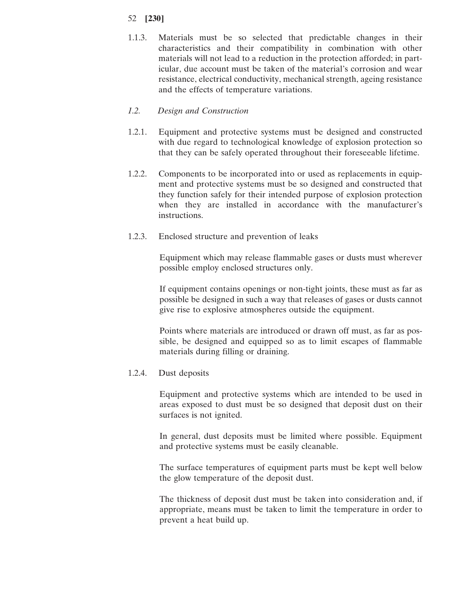1.1.3. Materials must be so selected that predictable changes in their characteristics and their compatibility in combination with other materials will not lead to a reduction in the protection afforded; in particular, due account must be taken of the material's corrosion and wear resistance, electrical conductivity, mechanical strength, ageing resistance and the effects of temperature variations.

# *1.2. Design and Construction*

- 1.2.1. Equipment and protective systems must be designed and constructed with due regard to technological knowledge of explosion protection so that they can be safely operated throughout their foreseeable lifetime.
- 1.2.2. Components to be incorporated into or used as replacements in equipment and protective systems must be so designed and constructed that they function safely for their intended purpose of explosion protection when they are installed in accordance with the manufacturer's instructions.
- 1.2.3. Enclosed structure and prevention of leaks

Equipment which may release flammable gases or dusts must wherever possible employ enclosed structures only.

If equipment contains openings or non-tight joints, these must as far as possible be designed in such a way that releases of gases or dusts cannot give rise to explosive atmospheres outside the equipment.

Points where materials are introduced or drawn off must, as far as possible, be designed and equipped so as to limit escapes of flammable materials during filling or draining.

# 1.2.4. Dust deposits

Equipment and protective systems which are intended to be used in areas exposed to dust must be so designed that deposit dust on their surfaces is not ignited.

In general, dust deposits must be limited where possible. Equipment and protective systems must be easily cleanable.

The surface temperatures of equipment parts must be kept well below the glow temperature of the deposit dust.

The thickness of deposit dust must be taken into consideration and, if appropriate, means must be taken to limit the temperature in order to prevent a heat build up.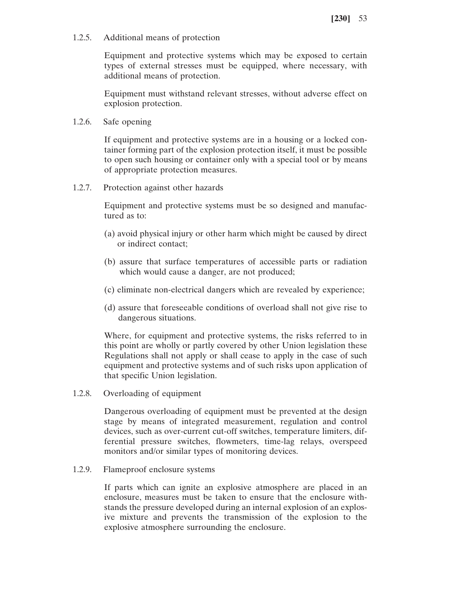1.2.5. Additional means of protection

Equipment and protective systems which may be exposed to certain types of external stresses must be equipped, where necessary, with additional means of protection.

Equipment must withstand relevant stresses, without adverse effect on explosion protection.

1.2.6. Safe opening

If equipment and protective systems are in a housing or a locked container forming part of the explosion protection itself, it must be possible to open such housing or container only with a special tool or by means of appropriate protection measures.

1.2.7. Protection against other hazards

Equipment and protective systems must be so designed and manufactured as to:

- (a) avoid physical injury or other harm which might be caused by direct or indirect contact;
- (b) assure that surface temperatures of accessible parts or radiation which would cause a danger, are not produced;
- (c) eliminate non-electrical dangers which are revealed by experience;
- (d) assure that foreseeable conditions of overload shall not give rise to dangerous situations.

Where, for equipment and protective systems, the risks referred to in this point are wholly or partly covered by other Union legislation these Regulations shall not apply or shall cease to apply in the case of such equipment and protective systems and of such risks upon application of that specific Union legislation.

1.2.8. Overloading of equipment

Dangerous overloading of equipment must be prevented at the design stage by means of integrated measurement, regulation and control devices, such as over-current cut-off switches, temperature limiters, differential pressure switches, flowmeters, time-lag relays, overspeed monitors and/or similar types of monitoring devices.

1.2.9. Flameproof enclosure systems

If parts which can ignite an explosive atmosphere are placed in an enclosure, measures must be taken to ensure that the enclosure withstands the pressure developed during an internal explosion of an explosive mixture and prevents the transmission of the explosion to the explosive atmosphere surrounding the enclosure.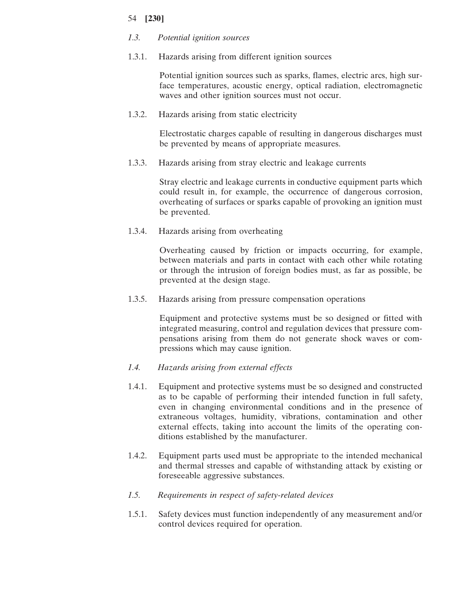# *1.3. Potential ignition sources*

1.3.1. Hazards arising from different ignition sources

Potential ignition sources such as sparks, flames, electric arcs, high surface temperatures, acoustic energy, optical radiation, electromagnetic waves and other ignition sources must not occur.

1.3.2. Hazards arising from static electricity

Electrostatic charges capable of resulting in dangerous discharges must be prevented by means of appropriate measures.

1.3.3. Hazards arising from stray electric and leakage currents

Stray electric and leakage currents in conductive equipment parts which could result in, for example, the occurrence of dangerous corrosion, overheating of surfaces or sparks capable of provoking an ignition must be prevented.

1.3.4. Hazards arising from overheating

Overheating caused by friction or impacts occurring, for example, between materials and parts in contact with each other while rotating or through the intrusion of foreign bodies must, as far as possible, be prevented at the design stage.

1.3.5. Hazards arising from pressure compensation operations

Equipment and protective systems must be so designed or fitted with integrated measuring, control and regulation devices that pressure compensations arising from them do not generate shock waves or compressions which may cause ignition.

- *1.4. Hazards arising from external effects*
- 1.4.1. Equipment and protective systems must be so designed and constructed as to be capable of performing their intended function in full safety, even in changing environmental conditions and in the presence of extraneous voltages, humidity, vibrations, contamination and other external effects, taking into account the limits of the operating conditions established by the manufacturer.
- 1.4.2. Equipment parts used must be appropriate to the intended mechanical and thermal stresses and capable of withstanding attack by existing or foreseeable aggressive substances.
- *1.5. Requirements in respect of safety-related devices*
- 1.5.1. Safety devices must function independently of any measurement and/or control devices required for operation.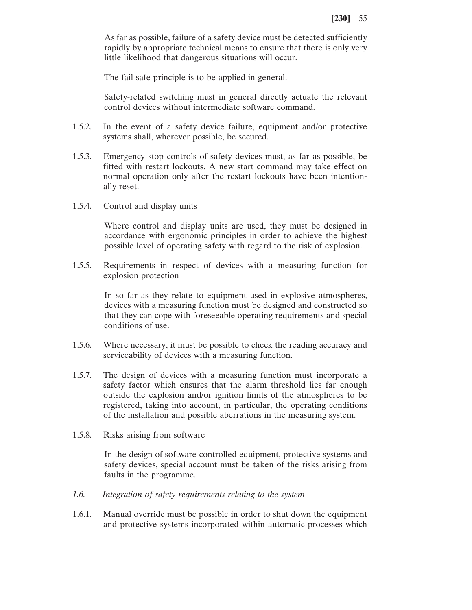As far as possible, failure of a safety device must be detected sufficiently rapidly by appropriate technical means to ensure that there is only very little likelihood that dangerous situations will occur.

The fail-safe principle is to be applied in general.

Safety-related switching must in general directly actuate the relevant control devices without intermediate software command.

- 1.5.2. In the event of a safety device failure, equipment and/or protective systems shall, wherever possible, be secured.
- 1.5.3. Emergency stop controls of safety devices must, as far as possible, be fitted with restart lockouts. A new start command may take effect on normal operation only after the restart lockouts have been intentionally reset.
- 1.5.4. Control and display units

Where control and display units are used, they must be designed in accordance with ergonomic principles in order to achieve the highest possible level of operating safety with regard to the risk of explosion.

1.5.5. Requirements in respect of devices with a measuring function for explosion protection

> In so far as they relate to equipment used in explosive atmospheres, devices with a measuring function must be designed and constructed so that they can cope with foreseeable operating requirements and special conditions of use.

- 1.5.6. Where necessary, it must be possible to check the reading accuracy and serviceability of devices with a measuring function.
- 1.5.7. The design of devices with a measuring function must incorporate a safety factor which ensures that the alarm threshold lies far enough outside the explosion and/or ignition limits of the atmospheres to be registered, taking into account, in particular, the operating conditions of the installation and possible aberrations in the measuring system.
- 1.5.8. Risks arising from software

In the design of software-controlled equipment, protective systems and safety devices, special account must be taken of the risks arising from faults in the programme.

- *1.6. Integration of safety requirements relating to the system*
- 1.6.1. Manual override must be possible in order to shut down the equipment and protective systems incorporated within automatic processes which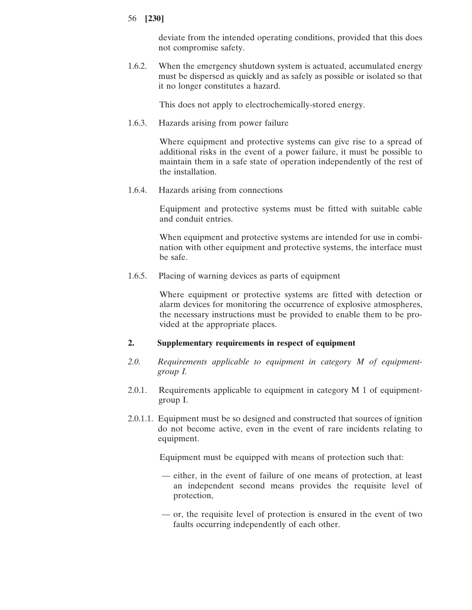deviate from the intended operating conditions, provided that this does not compromise safety.

1.6.2. When the emergency shutdown system is actuated, accumulated energy must be dispersed as quickly and as safely as possible or isolated so that it no longer constitutes a hazard.

This does not apply to electrochemically-stored energy.

1.6.3. Hazards arising from power failure

Where equipment and protective systems can give rise to a spread of additional risks in the event of a power failure, it must be possible to maintain them in a safe state of operation independently of the rest of the installation.

1.6.4. Hazards arising from connections

Equipment and protective systems must be fitted with suitable cable and conduit entries.

When equipment and protective systems are intended for use in combination with other equipment and protective systems, the interface must be safe.

1.6.5. Placing of warning devices as parts of equipment

Where equipment or protective systems are fitted with detection or alarm devices for monitoring the occurrence of explosive atmospheres, the necessary instructions must be provided to enable them to be provided at the appropriate places.

# **2. Supplementary requirements in respect of equipment**

- *2.0. Requirements applicable to equipment in category M of equipmentgroup I.*
- 2.0.1. Requirements applicable to equipment in category M 1 of equipmentgroup I.
- 2.0.1.1. Equipment must be so designed and constructed that sources of ignition do not become active, even in the event of rare incidents relating to equipment.

Equipment must be equipped with means of protection such that:

- either, in the event of failure of one means of protection, at least an independent second means provides the requisite level of protection,
- or, the requisite level of protection is ensured in the event of two faults occurring independently of each other.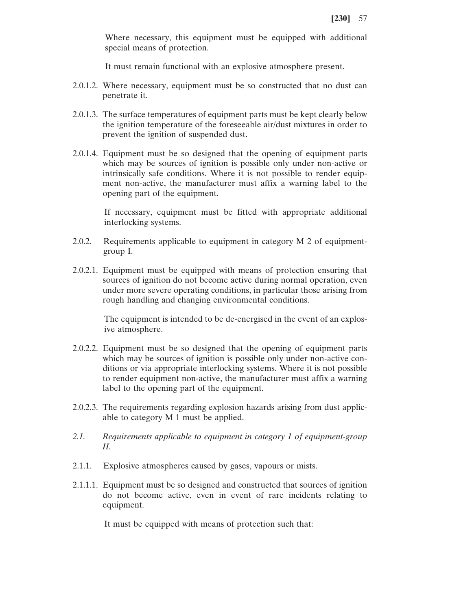Where necessary, this equipment must be equipped with additional special means of protection.

It must remain functional with an explosive atmosphere present.

- 2.0.1.2. Where necessary, equipment must be so constructed that no dust can penetrate it.
- 2.0.1.3. The surface temperatures of equipment parts must be kept clearly below the ignition temperature of the foreseeable air/dust mixtures in order to prevent the ignition of suspended dust.
- 2.0.1.4. Equipment must be so designed that the opening of equipment parts which may be sources of ignition is possible only under non-active or intrinsically safe conditions. Where it is not possible to render equipment non-active, the manufacturer must affix a warning label to the opening part of the equipment.

If necessary, equipment must be fitted with appropriate additional interlocking systems.

- 2.0.2. Requirements applicable to equipment in category M 2 of equipmentgroup I.
- 2.0.2.1. Equipment must be equipped with means of protection ensuring that sources of ignition do not become active during normal operation, even under more severe operating conditions, in particular those arising from rough handling and changing environmental conditions.

The equipment is intended to be de-energised in the event of an explosive atmosphere.

- 2.0.2.2. Equipment must be so designed that the opening of equipment parts which may be sources of ignition is possible only under non-active conditions or via appropriate interlocking systems. Where it is not possible to render equipment non-active, the manufacturer must affix a warning label to the opening part of the equipment.
- 2.0.2.3. The requirements regarding explosion hazards arising from dust applicable to category M 1 must be applied.
- *2.1. Requirements applicable to equipment in category 1 of equipment-group II.*
- 2.1.1. Explosive atmospheres caused by gases, vapours or mists.
- 2.1.1.1. Equipment must be so designed and constructed that sources of ignition do not become active, even in event of rare incidents relating to equipment.

It must be equipped with means of protection such that: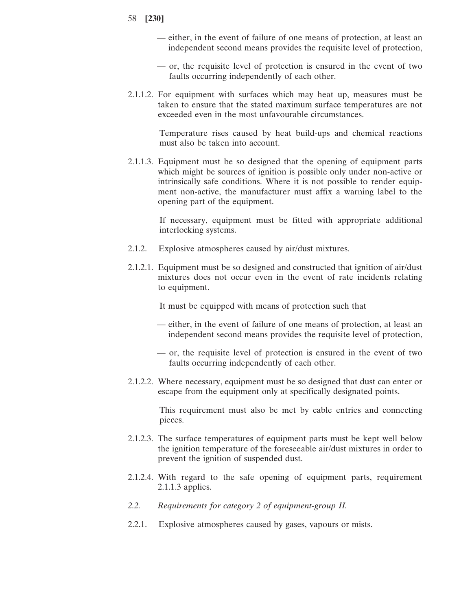- 58 **[230]**
	- either, in the event of failure of one means of protection, at least an independent second means provides the requisite level of protection,
	- or, the requisite level of protection is ensured in the event of two faults occurring independently of each other.
- 2.1.1.2. For equipment with surfaces which may heat up, measures must be taken to ensure that the stated maximum surface temperatures are not exceeded even in the most unfavourable circumstances.

Temperature rises caused by heat build-ups and chemical reactions must also be taken into account.

2.1.1.3. Equipment must be so designed that the opening of equipment parts which might be sources of ignition is possible only under non-active or intrinsically safe conditions. Where it is not possible to render equipment non-active, the manufacturer must affix a warning label to the opening part of the equipment.

> If necessary, equipment must be fitted with appropriate additional interlocking systems.

- 2.1.2. Explosive atmospheres caused by air/dust mixtures.
- 2.1.2.1. Equipment must be so designed and constructed that ignition of air/dust mixtures does not occur even in the event of rate incidents relating to equipment.

It must be equipped with means of protection such that

- either, in the event of failure of one means of protection, at least an independent second means provides the requisite level of protection,
- or, the requisite level of protection is ensured in the event of two faults occurring independently of each other.
- 2.1.2.2. Where necessary, equipment must be so designed that dust can enter or escape from the equipment only at specifically designated points.

This requirement must also be met by cable entries and connecting pieces.

- 2.1.2.3. The surface temperatures of equipment parts must be kept well below the ignition temperature of the foreseeable air/dust mixtures in order to prevent the ignition of suspended dust.
- 2.1.2.4. With regard to the safe opening of equipment parts, requirement 2.1.1.3 applies.
- *2.2. Requirements for category 2 of equipment-group II.*
- 2.2.1. Explosive atmospheres caused by gases, vapours or mists.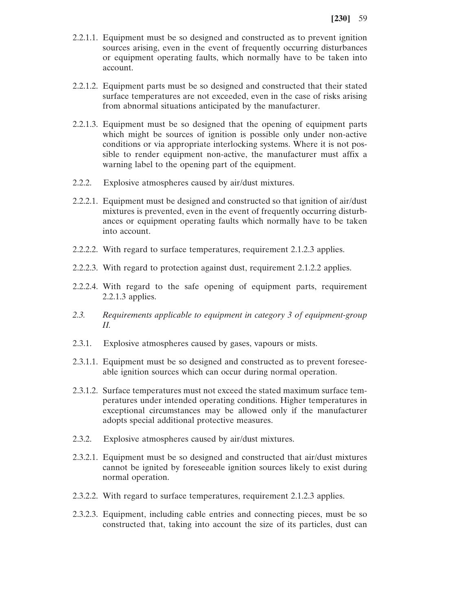- 2.2.1.1. Equipment must be so designed and constructed as to prevent ignition sources arising, even in the event of frequently occurring disturbances or equipment operating faults, which normally have to be taken into account.
- 2.2.1.2. Equipment parts must be so designed and constructed that their stated surface temperatures are not exceeded, even in the case of risks arising from abnormal situations anticipated by the manufacturer.
- 2.2.1.3. Equipment must be so designed that the opening of equipment parts which might be sources of ignition is possible only under non-active conditions or via appropriate interlocking systems. Where it is not possible to render equipment non-active, the manufacturer must affix a warning label to the opening part of the equipment.
- 2.2.2. Explosive atmospheres caused by air/dust mixtures.
- 2.2.2.1. Equipment must be designed and constructed so that ignition of air/dust mixtures is prevented, even in the event of frequently occurring disturbances or equipment operating faults which normally have to be taken into account.
- 2.2.2.2. With regard to surface temperatures, requirement 2.1.2.3 applies.
- 2.2.2.3. With regard to protection against dust, requirement 2.1.2.2 applies.
- 2.2.2.4. With regard to the safe opening of equipment parts, requirement 2.2.1.3 applies.
- *2.3. Requirements applicable to equipment in category 3 of equipment-group II.*
- 2.3.1. Explosive atmospheres caused by gases, vapours or mists.
- 2.3.1.1. Equipment must be so designed and constructed as to prevent foreseeable ignition sources which can occur during normal operation.
- 2.3.1.2. Surface temperatures must not exceed the stated maximum surface temperatures under intended operating conditions. Higher temperatures in exceptional circumstances may be allowed only if the manufacturer adopts special additional protective measures.
- 2.3.2. Explosive atmospheres caused by air/dust mixtures.
- 2.3.2.1. Equipment must be so designed and constructed that air/dust mixtures cannot be ignited by foreseeable ignition sources likely to exist during normal operation.
- 2.3.2.2. With regard to surface temperatures, requirement 2.1.2.3 applies.
- 2.3.2.3. Equipment, including cable entries and connecting pieces, must be so constructed that, taking into account the size of its particles, dust can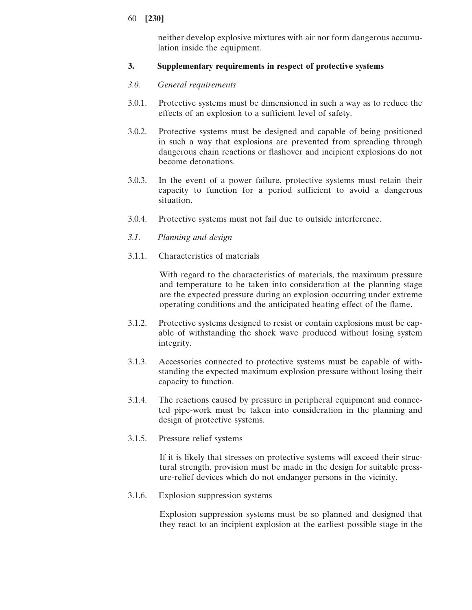neither develop explosive mixtures with air nor form dangerous accumulation inside the equipment.

# **3. Supplementary requirements in respect of protective systems**

# *3.0. General requirements*

- 3.0.1. Protective systems must be dimensioned in such a way as to reduce the effects of an explosion to a sufficient level of safety.
- 3.0.2. Protective systems must be designed and capable of being positioned in such a way that explosions are prevented from spreading through dangerous chain reactions or flashover and incipient explosions do not become detonations.
- 3.0.3. In the event of a power failure, protective systems must retain their capacity to function for a period sufficient to avoid a dangerous situation.
- 3.0.4. Protective systems must not fail due to outside interference.
- *3.1. Planning and design*
- 3.1.1. Characteristics of materials

With regard to the characteristics of materials, the maximum pressure and temperature to be taken into consideration at the planning stage are the expected pressure during an explosion occurring under extreme operating conditions and the anticipated heating effect of the flame.

- 3.1.2. Protective systems designed to resist or contain explosions must be capable of withstanding the shock wave produced without losing system integrity.
- 3.1.3. Accessories connected to protective systems must be capable of withstanding the expected maximum explosion pressure without losing their capacity to function.
- 3.1.4. The reactions caused by pressure in peripheral equipment and connected pipe-work must be taken into consideration in the planning and design of protective systems.
- 3.1.5. Pressure relief systems

If it is likely that stresses on protective systems will exceed their structural strength, provision must be made in the design for suitable pressure-relief devices which do not endanger persons in the vicinity.

3.1.6. Explosion suppression systems

Explosion suppression systems must be so planned and designed that they react to an incipient explosion at the earliest possible stage in the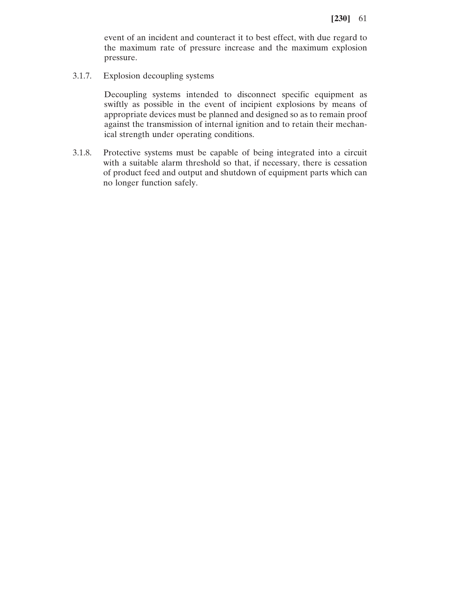event of an incident and counteract it to best effect, with due regard to the maximum rate of pressure increase and the maximum explosion pressure.

3.1.7. Explosion decoupling systems

Decoupling systems intended to disconnect specific equipment as swiftly as possible in the event of incipient explosions by means of appropriate devices must be planned and designed so as to remain proof against the transmission of internal ignition and to retain their mechanical strength under operating conditions.

3.1.8. Protective systems must be capable of being integrated into a circuit with a suitable alarm threshold so that, if necessary, there is cessation of product feed and output and shutdown of equipment parts which can no longer function safely.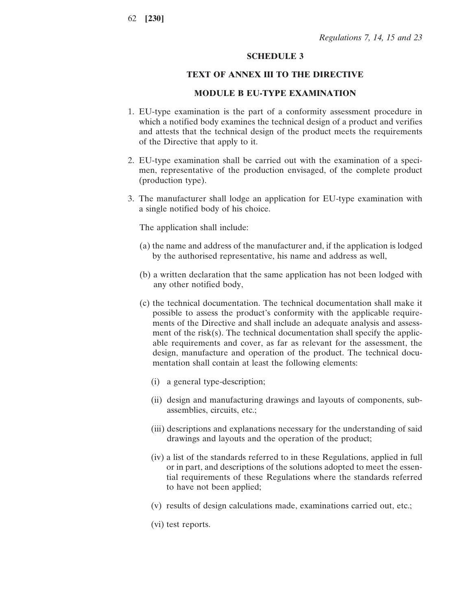### **SCHEDULE 3**

### **TEXT OF ANNEX III TO THE DIRECTIVE**

### **MODULE B EU-TYPE EXAMINATION**

- 1. EU-type examination is the part of a conformity assessment procedure in which a notified body examines the technical design of a product and verifies and attests that the technical design of the product meets the requirements of the Directive that apply to it.
- 2. EU-type examination shall be carried out with the examination of a specimen, representative of the production envisaged, of the complete product (production type).
- 3. The manufacturer shall lodge an application for EU-type examination with a single notified body of his choice.

The application shall include:

- (a) the name and address of the manufacturer and, if the application is lodged by the authorised representative, his name and address as well,
- (b) a written declaration that the same application has not been lodged with any other notified body,
- (c) the technical documentation. The technical documentation shall make it possible to assess the product's conformity with the applicable requirements of the Directive and shall include an adequate analysis and assessment of the risk(s). The technical documentation shall specify the applicable requirements and cover, as far as relevant for the assessment, the design, manufacture and operation of the product. The technical documentation shall contain at least the following elements:
	- (i) a general type-description;
	- (ii) design and manufacturing drawings and layouts of components, subassemblies, circuits, etc.;
	- (iii) descriptions and explanations necessary for the understanding of said drawings and layouts and the operation of the product;
	- (iv) a list of the standards referred to in these Regulations, applied in full or in part, and descriptions of the solutions adopted to meet the essential requirements of these Regulations where the standards referred to have not been applied;
	- (v) results of design calculations made, examinations carried out, etc.;
	- (vi) test reports.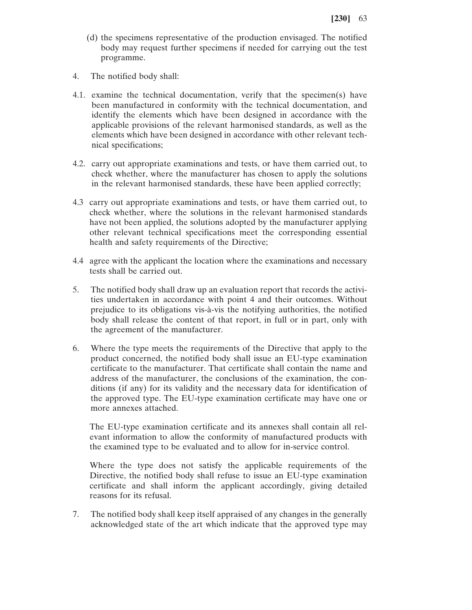- (d) the specimens representative of the production envisaged. The notified body may request further specimens if needed for carrying out the test programme.
- 4. The notified body shall:
- 4.1. examine the technical documentation, verify that the specimen(s) have been manufactured in conformity with the technical documentation, and identify the elements which have been designed in accordance with the applicable provisions of the relevant harmonised standards, as well as the elements which have been designed in accordance with other relevant technical specifications;
- 4.2. carry out appropriate examinations and tests, or have them carried out, to check whether, where the manufacturer has chosen to apply the solutions in the relevant harmonised standards, these have been applied correctly;
- 4.3 carry out appropriate examinations and tests, or have them carried out, to check whether, where the solutions in the relevant harmonised standards have not been applied, the solutions adopted by the manufacturer applying other relevant technical specifications meet the corresponding essential health and safety requirements of the Directive;
- 4.4 agree with the applicant the location where the examinations and necessary tests shall be carried out.
- 5. The notified body shall draw up an evaluation report that records the activities undertaken in accordance with point 4 and their outcomes. Without prejudice to its obligations vis-à-vis the notifying authorities, the notified body shall release the content of that report, in full or in part, only with the agreement of the manufacturer.
- 6. Where the type meets the requirements of the Directive that apply to the product concerned, the notified body shall issue an EU-type examination certificate to the manufacturer. That certificate shall contain the name and address of the manufacturer, the conclusions of the examination, the conditions (if any) for its validity and the necessary data for identification of the approved type. The EU-type examination certificate may have one or more annexes attached.

The EU-type examination certificate and its annexes shall contain all relevant information to allow the conformity of manufactured products with the examined type to be evaluated and to allow for in-service control.

Where the type does not satisfy the applicable requirements of the Directive, the notified body shall refuse to issue an EU-type examination certificate and shall inform the applicant accordingly, giving detailed reasons for its refusal.

7. The notified body shall keep itself appraised of any changes in the generally acknowledged state of the art which indicate that the approved type may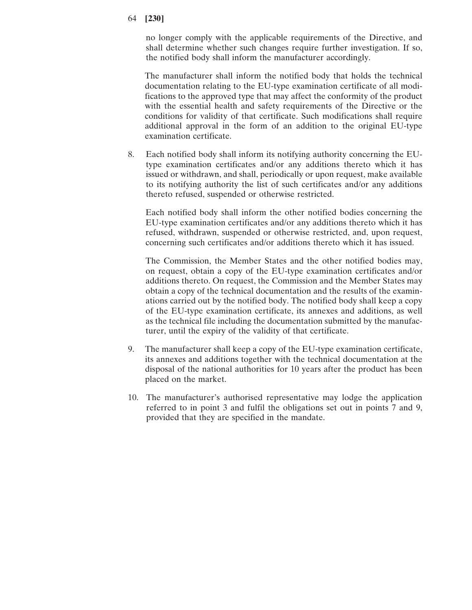no longer comply with the applicable requirements of the Directive, and shall determine whether such changes require further investigation. If so, the notified body shall inform the manufacturer accordingly.

The manufacturer shall inform the notified body that holds the technical documentation relating to the EU-type examination certificate of all modifications to the approved type that may affect the conformity of the product with the essential health and safety requirements of the Directive or the conditions for validity of that certificate. Such modifications shall require additional approval in the form of an addition to the original EU-type examination certificate.

8. Each notified body shall inform its notifying authority concerning the EUtype examination certificates and/or any additions thereto which it has issued or withdrawn, and shall, periodically or upon request, make available to its notifying authority the list of such certificates and/or any additions thereto refused, suspended or otherwise restricted.

Each notified body shall inform the other notified bodies concerning the EU-type examination certificates and/or any additions thereto which it has refused, withdrawn, suspended or otherwise restricted, and, upon request, concerning such certificates and/or additions thereto which it has issued.

The Commission, the Member States and the other notified bodies may, on request, obtain a copy of the EU-type examination certificates and/or additions thereto. On request, the Commission and the Member States may obtain a copy of the technical documentation and the results of the examinations carried out by the notified body. The notified body shall keep a copy of the EU-type examination certificate, its annexes and additions, as well as the technical file including the documentation submitted by the manufacturer, until the expiry of the validity of that certificate.

- 9. The manufacturer shall keep a copy of the EU-type examination certificate, its annexes and additions together with the technical documentation at the disposal of the national authorities for 10 years after the product has been placed on the market.
- 10. The manufacturer's authorised representative may lodge the application referred to in point 3 and fulfil the obligations set out in points 7 and 9, provided that they are specified in the mandate.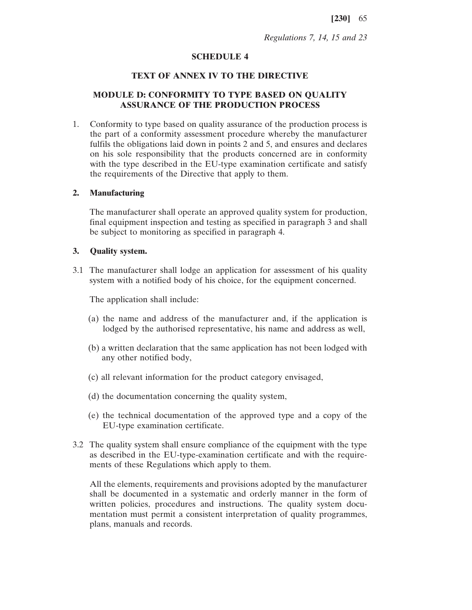*Regulations 7, 14, 15 and 23*

## **SCHEDULE 4**

## **TEXT OF ANNEX IV TO THE DIRECTIVE**

# **MODULE D: CONFORMITY TO TYPE BASED ON QUALITY ASSURANCE OF THE PRODUCTION PROCESS**

1. Conformity to type based on quality assurance of the production process is the part of a conformity assessment procedure whereby the manufacturer fulfils the obligations laid down in points 2 and 5, and ensures and declares on his sole responsibility that the products concerned are in conformity with the type described in the EU-type examination certificate and satisfy the requirements of the Directive that apply to them.

### **2. Manufacturing**

The manufacturer shall operate an approved quality system for production, final equipment inspection and testing as specified in paragraph 3 and shall be subject to monitoring as specified in paragraph 4.

# **3. Quality system.**

3.1 The manufacturer shall lodge an application for assessment of his quality system with a notified body of his choice, for the equipment concerned.

The application shall include:

- (a) the name and address of the manufacturer and, if the application is lodged by the authorised representative, his name and address as well,
- (b) a written declaration that the same application has not been lodged with any other notified body,
- (c) all relevant information for the product category envisaged,
- (d) the documentation concerning the quality system,
- (e) the technical documentation of the approved type and a copy of the EU-type examination certificate.
- 3.2 The quality system shall ensure compliance of the equipment with the type as described in the EU-type-examination certificate and with the requirements of these Regulations which apply to them.

All the elements, requirements and provisions adopted by the manufacturer shall be documented in a systematic and orderly manner in the form of written policies, procedures and instructions. The quality system documentation must permit a consistent interpretation of quality programmes, plans, manuals and records.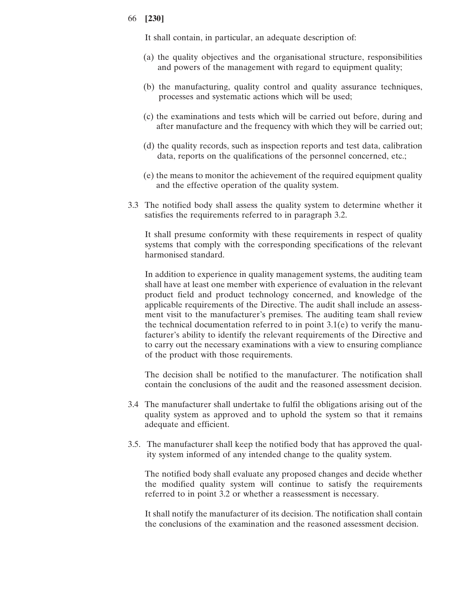It shall contain, in particular, an adequate description of:

- (a) the quality objectives and the organisational structure, responsibilities and powers of the management with regard to equipment quality;
- (b) the manufacturing, quality control and quality assurance techniques, processes and systematic actions which will be used;
- (c) the examinations and tests which will be carried out before, during and after manufacture and the frequency with which they will be carried out;
- (d) the quality records, such as inspection reports and test data, calibration data, reports on the qualifications of the personnel concerned, etc.;
- (e) the means to monitor the achievement of the required equipment quality and the effective operation of the quality system.
- 3.3 The notified body shall assess the quality system to determine whether it satisfies the requirements referred to in paragraph 3.2.

It shall presume conformity with these requirements in respect of quality systems that comply with the corresponding specifications of the relevant harmonised standard.

In addition to experience in quality management systems, the auditing team shall have at least one member with experience of evaluation in the relevant product field and product technology concerned, and knowledge of the applicable requirements of the Directive. The audit shall include an assessment visit to the manufacturer's premises. The auditing team shall review the technical documentation referred to in point  $3.1(e)$  to verify the manufacturer's ability to identify the relevant requirements of the Directive and to carry out the necessary examinations with a view to ensuring compliance of the product with those requirements.

The decision shall be notified to the manufacturer. The notification shall contain the conclusions of the audit and the reasoned assessment decision.

- 3.4 The manufacturer shall undertake to fulfil the obligations arising out of the quality system as approved and to uphold the system so that it remains adequate and efficient.
- 3.5. The manufacturer shall keep the notified body that has approved the quality system informed of any intended change to the quality system.

The notified body shall evaluate any proposed changes and decide whether the modified quality system will continue to satisfy the requirements referred to in point 3.2 or whether a reassessment is necessary.

It shall notify the manufacturer of its decision. The notification shall contain the conclusions of the examination and the reasoned assessment decision.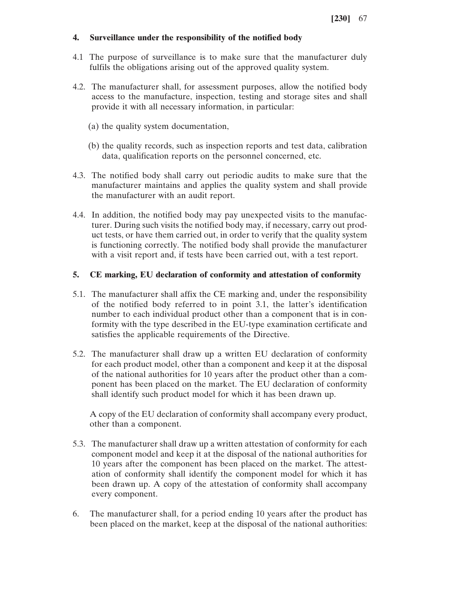# **4. Surveillance under the responsibility of the notified body**

- 4.1 The purpose of surveillance is to make sure that the manufacturer duly fulfils the obligations arising out of the approved quality system.
- 4.2. The manufacturer shall, for assessment purposes, allow the notified body access to the manufacture, inspection, testing and storage sites and shall provide it with all necessary information, in particular:
	- (a) the quality system documentation,
	- (b) the quality records, such as inspection reports and test data, calibration data, qualification reports on the personnel concerned, etc.
- 4.3. The notified body shall carry out periodic audits to make sure that the manufacturer maintains and applies the quality system and shall provide the manufacturer with an audit report.
- 4.4. In addition, the notified body may pay unexpected visits to the manufacturer. During such visits the notified body may, if necessary, carry out product tests, or have them carried out, in order to verify that the quality system is functioning correctly. The notified body shall provide the manufacturer with a visit report and, if tests have been carried out, with a test report.

# **5. CE marking, EU declaration of conformity and attestation of conformity**

- 5.1. The manufacturer shall affix the CE marking and, under the responsibility of the notified body referred to in point 3.1, the latter's identification number to each individual product other than a component that is in conformity with the type described in the EU-type examination certificate and satisfies the applicable requirements of the Directive.
- 5.2. The manufacturer shall draw up a written EU declaration of conformity for each product model, other than a component and keep it at the disposal of the national authorities for 10 years after the product other than a component has been placed on the market. The EU declaration of conformity shall identify such product model for which it has been drawn up.

A copy of the EU declaration of conformity shall accompany every product, other than a component.

- 5.3. The manufacturer shall draw up a written attestation of conformity for each component model and keep it at the disposal of the national authorities for 10 years after the component has been placed on the market. The attestation of conformity shall identify the component model for which it has been drawn up. A copy of the attestation of conformity shall accompany every component.
- 6. The manufacturer shall, for a period ending 10 years after the product has been placed on the market, keep at the disposal of the national authorities: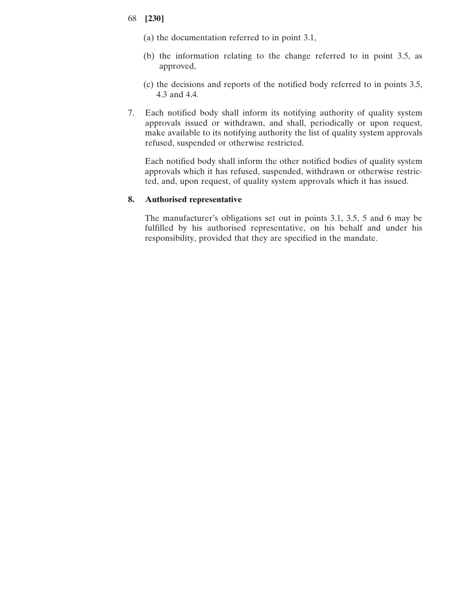- (a) the documentation referred to in point 3.1,
- (b) the information relating to the change referred to in point 3.5, as approved,
- (c) the decisions and reports of the notified body referred to in points 3.5, 4.3 and 4.4.
- 7. Each notified body shall inform its notifying authority of quality system approvals issued or withdrawn, and shall, periodically or upon request, make available to its notifying authority the list of quality system approvals refused, suspended or otherwise restricted.

Each notified body shall inform the other notified bodies of quality system approvals which it has refused, suspended, withdrawn or otherwise restricted, and, upon request, of quality system approvals which it has issued.

# **8. Authorised representative**

The manufacturer's obligations set out in points 3.1, 3.5, 5 and 6 may be fulfilled by his authorised representative, on his behalf and under his responsibility, provided that they are specified in the mandate.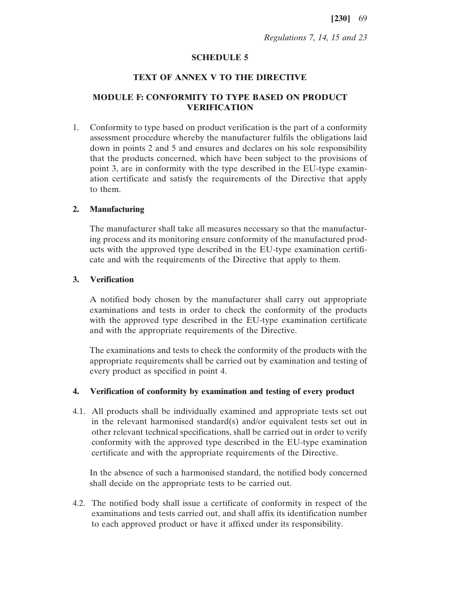*Regulations 7, 14, 15 and 23*

### **SCHEDULE 5**

### **TEXT OF ANNEX V TO THE DIRECTIVE**

# **MODULE F: CONFORMITY TO TYPE BASED ON PRODUCT VERIFICATION**

1. Conformity to type based on product verification is the part of a conformity assessment procedure whereby the manufacturer fulfils the obligations laid down in points 2 and 5 and ensures and declares on his sole responsibility that the products concerned, which have been subject to the provisions of point 3, are in conformity with the type described in the EU-type examination certificate and satisfy the requirements of the Directive that apply to them.

### **2. Manufacturing**

The manufacturer shall take all measures necessary so that the manufacturing process and its monitoring ensure conformity of the manufactured products with the approved type described in the EU-type examination certificate and with the requirements of the Directive that apply to them.

# **3. Verification**

A notified body chosen by the manufacturer shall carry out appropriate examinations and tests in order to check the conformity of the products with the approved type described in the EU-type examination certificate and with the appropriate requirements of the Directive.

The examinations and tests to check the conformity of the products with the appropriate requirements shall be carried out by examination and testing of every product as specified in point 4.

# **4. Verification of conformity by examination and testing of every product**

4.1. All products shall be individually examined and appropriate tests set out in the relevant harmonised standard(s) and/or equivalent tests set out in other relevant technical specifications, shall be carried out in order to verify conformity with the approved type described in the EU-type examination certificate and with the appropriate requirements of the Directive.

In the absence of such a harmonised standard, the notified body concerned shall decide on the appropriate tests to be carried out.

4.2. The notified body shall issue a certificate of conformity in respect of the examinations and tests carried out, and shall affix its identification number to each approved product or have it affixed under its responsibility.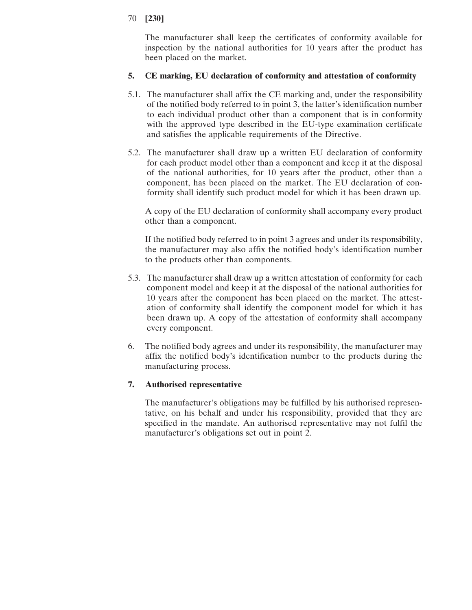The manufacturer shall keep the certificates of conformity available for inspection by the national authorities for 10 years after the product has been placed on the market.

# **5. CE marking, EU declaration of conformity and attestation of conformity**

- 5.1. The manufacturer shall affix the CE marking and, under the responsibility of the notified body referred to in point 3, the latter's identification number to each individual product other than a component that is in conformity with the approved type described in the EU-type examination certificate and satisfies the applicable requirements of the Directive.
- 5.2. The manufacturer shall draw up a written EU declaration of conformity for each product model other than a component and keep it at the disposal of the national authorities, for 10 years after the product, other than a component, has been placed on the market. The EU declaration of conformity shall identify such product model for which it has been drawn up.

A copy of the EU declaration of conformity shall accompany every product other than a component.

If the notified body referred to in point 3 agrees and under its responsibility, the manufacturer may also affix the notified body's identification number to the products other than components.

- 5.3. The manufacturer shall draw up a written attestation of conformity for each component model and keep it at the disposal of the national authorities for 10 years after the component has been placed on the market. The attestation of conformity shall identify the component model for which it has been drawn up. A copy of the attestation of conformity shall accompany every component.
- 6. The notified body agrees and under its responsibility, the manufacturer may affix the notified body's identification number to the products during the manufacturing process.

# **7. Authorised representative**

The manufacturer's obligations may be fulfilled by his authorised representative, on his behalf and under his responsibility, provided that they are specified in the mandate. An authorised representative may not fulfil the manufacturer's obligations set out in point 2.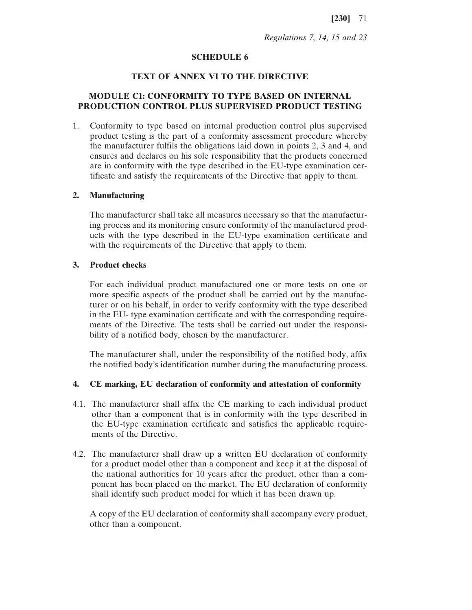*Regulations 7, 14, 15 and 23*

### **SCHEDULE 6**

# **TEXT OF ANNEX VI TO THE DIRECTIVE**

## **MODULE C1: CONFORMITY TO TYPE BASED ON INTERNAL PRODUCTION CONTROL PLUS SUPERVISED PRODUCT TESTING**

1. Conformity to type based on internal production control plus supervised product testing is the part of a conformity assessment procedure whereby the manufacturer fulfils the obligations laid down in points 2, 3 and 4, and ensures and declares on his sole responsibility that the products concerned are in conformity with the type described in the EU-type examination certificate and satisfy the requirements of the Directive that apply to them.

#### **2. Manufacturing**

The manufacturer shall take all measures necessary so that the manufacturing process and its monitoring ensure conformity of the manufactured products with the type described in the EU-type examination certificate and with the requirements of the Directive that apply to them.

### **3. Product checks**

For each individual product manufactured one or more tests on one or more specific aspects of the product shall be carried out by the manufacturer or on his behalf, in order to verify conformity with the type described in the EU- type examination certificate and with the corresponding requirements of the Directive. The tests shall be carried out under the responsibility of a notified body, chosen by the manufacturer.

The manufacturer shall, under the responsibility of the notified body, affix the notified body's identification number during the manufacturing process.

#### **4. CE marking, EU declaration of conformity and attestation of conformity**

- 4.1. The manufacturer shall affix the CE marking to each individual product other than a component that is in conformity with the type described in the EU-type examination certificate and satisfies the applicable requirements of the Directive.
- 4.2. The manufacturer shall draw up a written EU declaration of conformity for a product model other than a component and keep it at the disposal of the national authorities for 10 years after the product, other than a component has been placed on the market. The EU declaration of conformity shall identify such product model for which it has been drawn up.

A copy of the EU declaration of conformity shall accompany every product, other than a component.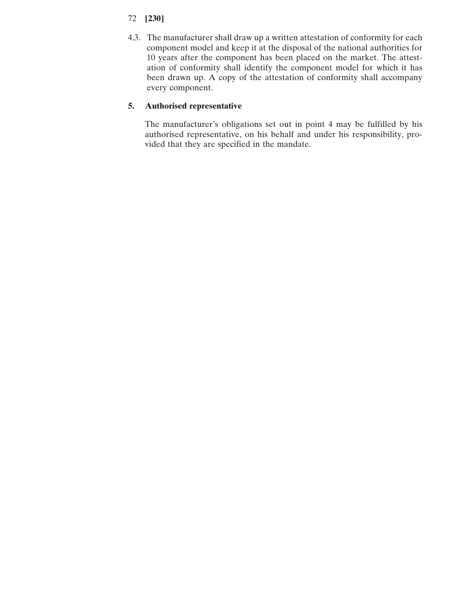- 72 **[230]**
- 4.3. The manufacturer shall draw up a written attestation of conformity for each component model and keep it at the disposal of the national authorities for 10 years after the component has been placed on the market. The attestation of conformity shall identify the component model for which it has been drawn up. A copy of the attestation of conformity shall accompany every component.

# **5. Authorised representative**

The manufacturer's obligations set out in point 4 may be fulfilled by his authorised representative, on his behalf and under his responsibility, provided that they are specified in the mandate.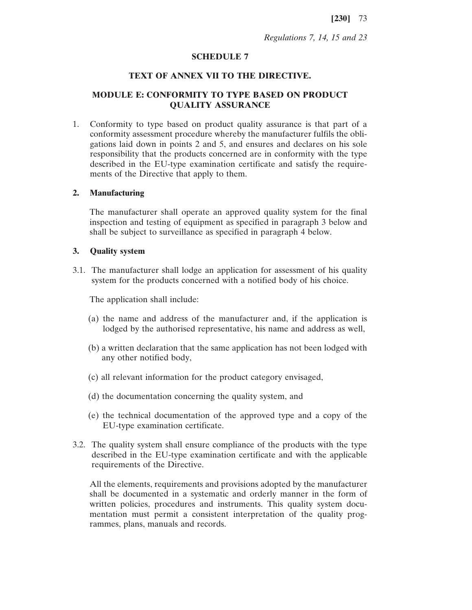*Regulations 7, 14, 15 and 23*

# **SCHEDULE 7**

### **TEXT OF ANNEX VII TO THE DIRECTIVE.**

# **MODULE E: CONFORMITY TO TYPE BASED ON PRODUCT QUALITY ASSURANCE**

1. Conformity to type based on product quality assurance is that part of a conformity assessment procedure whereby the manufacturer fulfils the obligations laid down in points 2 and 5, and ensures and declares on his sole responsibility that the products concerned are in conformity with the type described in the EU-type examination certificate and satisfy the requirements of the Directive that apply to them.

#### **2. Manufacturing**

The manufacturer shall operate an approved quality system for the final inspection and testing of equipment as specified in paragraph 3 below and shall be subject to surveillance as specified in paragraph 4 below.

# **3. Quality system**

3.1. The manufacturer shall lodge an application for assessment of his quality system for the products concerned with a notified body of his choice.

The application shall include:

- (a) the name and address of the manufacturer and, if the application is lodged by the authorised representative, his name and address as well,
- (b) a written declaration that the same application has not been lodged with any other notified body,
- (c) all relevant information for the product category envisaged,
- (d) the documentation concerning the quality system, and
- (e) the technical documentation of the approved type and a copy of the EU-type examination certificate.
- 3.2. The quality system shall ensure compliance of the products with the type described in the EU-type examination certificate and with the applicable requirements of the Directive.

All the elements, requirements and provisions adopted by the manufacturer shall be documented in a systematic and orderly manner in the form of written policies, procedures and instruments. This quality system documentation must permit a consistent interpretation of the quality programmes, plans, manuals and records.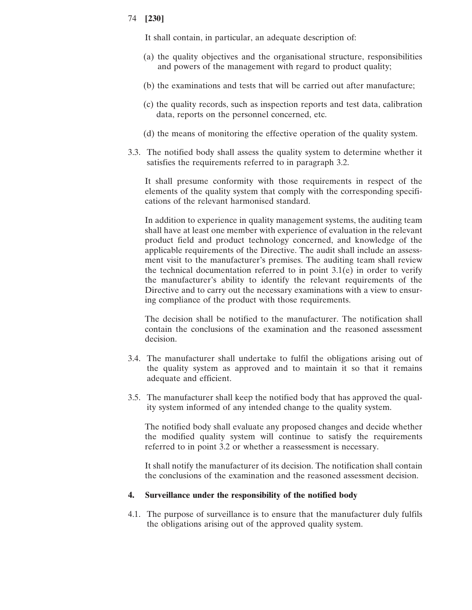It shall contain, in particular, an adequate description of:

- (a) the quality objectives and the organisational structure, responsibilities and powers of the management with regard to product quality;
- (b) the examinations and tests that will be carried out after manufacture;
- (c) the quality records, such as inspection reports and test data, calibration data, reports on the personnel concerned, etc.
- (d) the means of monitoring the effective operation of the quality system.
- 3.3. The notified body shall assess the quality system to determine whether it satisfies the requirements referred to in paragraph 3.2.

It shall presume conformity with those requirements in respect of the elements of the quality system that comply with the corresponding specifications of the relevant harmonised standard.

In addition to experience in quality management systems, the auditing team shall have at least one member with experience of evaluation in the relevant product field and product technology concerned, and knowledge of the applicable requirements of the Directive. The audit shall include an assessment visit to the manufacturer's premises. The auditing team shall review the technical documentation referred to in point  $3.1(e)$  in order to verify the manufacturer's ability to identify the relevant requirements of the Directive and to carry out the necessary examinations with a view to ensuring compliance of the product with those requirements.

The decision shall be notified to the manufacturer. The notification shall contain the conclusions of the examination and the reasoned assessment decision.

- 3.4. The manufacturer shall undertake to fulfil the obligations arising out of the quality system as approved and to maintain it so that it remains adequate and efficient.
- 3.5. The manufacturer shall keep the notified body that has approved the quality system informed of any intended change to the quality system.

The notified body shall evaluate any proposed changes and decide whether the modified quality system will continue to satisfy the requirements referred to in point 3.2 or whether a reassessment is necessary.

It shall notify the manufacturer of its decision. The notification shall contain the conclusions of the examination and the reasoned assessment decision.

#### **4. Surveillance under the responsibility of the notified body**

4.1. The purpose of surveillance is to ensure that the manufacturer duly fulfils the obligations arising out of the approved quality system.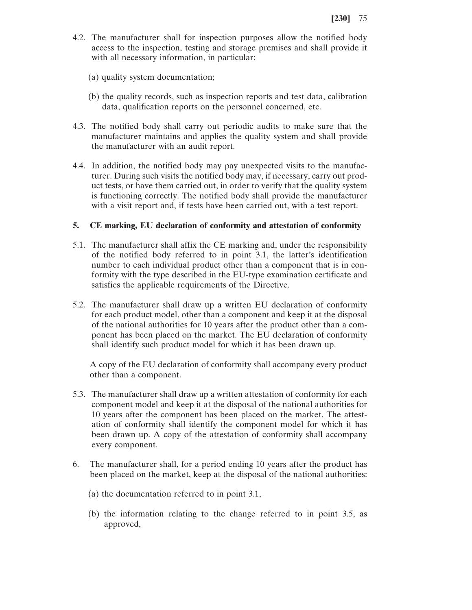- 4.2. The manufacturer shall for inspection purposes allow the notified body access to the inspection, testing and storage premises and shall provide it with all necessary information, in particular:
	- (a) quality system documentation;
	- (b) the quality records, such as inspection reports and test data, calibration data, qualification reports on the personnel concerned, etc.
- 4.3. The notified body shall carry out periodic audits to make sure that the manufacturer maintains and applies the quality system and shall provide the manufacturer with an audit report.
- 4.4. In addition, the notified body may pay unexpected visits to the manufacturer. During such visits the notified body may, if necessary, carry out product tests, or have them carried out, in order to verify that the quality system is functioning correctly. The notified body shall provide the manufacturer with a visit report and, if tests have been carried out, with a test report.

## **5. CE marking, EU declaration of conformity and attestation of conformity**

- 5.1. The manufacturer shall affix the CE marking and, under the responsibility of the notified body referred to in point 3.1, the latter's identification number to each individual product other than a component that is in conformity with the type described in the EU-type examination certificate and satisfies the applicable requirements of the Directive.
- 5.2. The manufacturer shall draw up a written EU declaration of conformity for each product model, other than a component and keep it at the disposal of the national authorities for 10 years after the product other than a component has been placed on the market. The EU declaration of conformity shall identify such product model for which it has been drawn up.

A copy of the EU declaration of conformity shall accompany every product other than a component.

- 5.3. The manufacturer shall draw up a written attestation of conformity for each component model and keep it at the disposal of the national authorities for 10 years after the component has been placed on the market. The attestation of conformity shall identify the component model for which it has been drawn up. A copy of the attestation of conformity shall accompany every component.
- 6. The manufacturer shall, for a period ending 10 years after the product has been placed on the market, keep at the disposal of the national authorities:
	- (a) the documentation referred to in point 3.1,
	- (b) the information relating to the change referred to in point 3.5, as approved,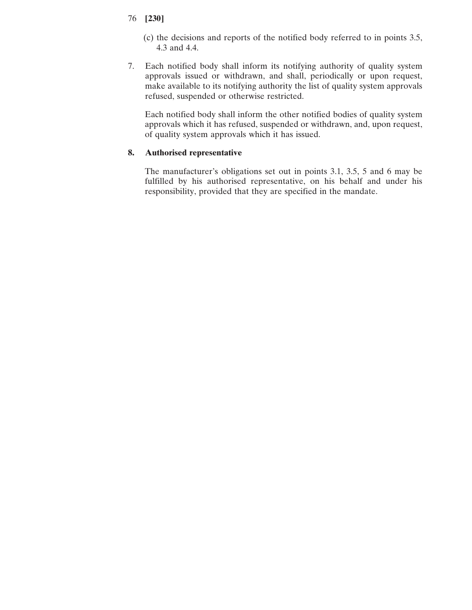- 76 **[230]**
	- (c) the decisions and reports of the notified body referred to in points 3.5, 4.3 and 4.4.
- 7. Each notified body shall inform its notifying authority of quality system approvals issued or withdrawn, and shall, periodically or upon request, make available to its notifying authority the list of quality system approvals refused, suspended or otherwise restricted.

Each notified body shall inform the other notified bodies of quality system approvals which it has refused, suspended or withdrawn, and, upon request, of quality system approvals which it has issued.

# **8. Authorised representative**

The manufacturer's obligations set out in points 3.1, 3.5, 5 and 6 may be fulfilled by his authorised representative, on his behalf and under his responsibility, provided that they are specified in the mandate.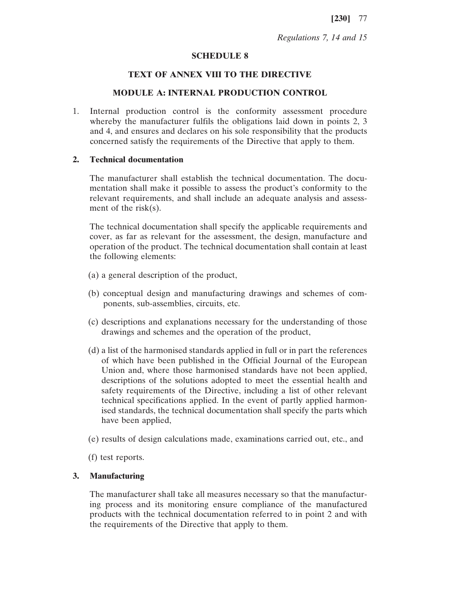## *Regulations 7, 14 and 15*

#### **SCHEDULE 8**

### **TEXT OF ANNEX VIII TO THE DIRECTIVE**

#### **MODULE A: INTERNAL PRODUCTION CONTROL**

1. Internal production control is the conformity assessment procedure whereby the manufacturer fulfils the obligations laid down in points 2, 3 and 4, and ensures and declares on his sole responsibility that the products concerned satisfy the requirements of the Directive that apply to them.

# **2. Technical documentation**

The manufacturer shall establish the technical documentation. The documentation shall make it possible to assess the product's conformity to the relevant requirements, and shall include an adequate analysis and assessment of the risk(s).

The technical documentation shall specify the applicable requirements and cover, as far as relevant for the assessment, the design, manufacture and operation of the product. The technical documentation shall contain at least the following elements:

- (a) a general description of the product,
- (b) conceptual design and manufacturing drawings and schemes of components, sub-assemblies, circuits, etc.
- (c) descriptions and explanations necessary for the understanding of those drawings and schemes and the operation of the product,
- (d) a list of the harmonised standards applied in full or in part the references of which have been published in the Official Journal of the European Union and, where those harmonised standards have not been applied, descriptions of the solutions adopted to meet the essential health and safety requirements of the Directive, including a list of other relevant technical specifications applied. In the event of partly applied harmonised standards, the technical documentation shall specify the parts which have been applied,
- (e) results of design calculations made, examinations carried out, etc., and

(f) test reports.

#### **3. Manufacturing**

The manufacturer shall take all measures necessary so that the manufacturing process and its monitoring ensure compliance of the manufactured products with the technical documentation referred to in point 2 and with the requirements of the Directive that apply to them.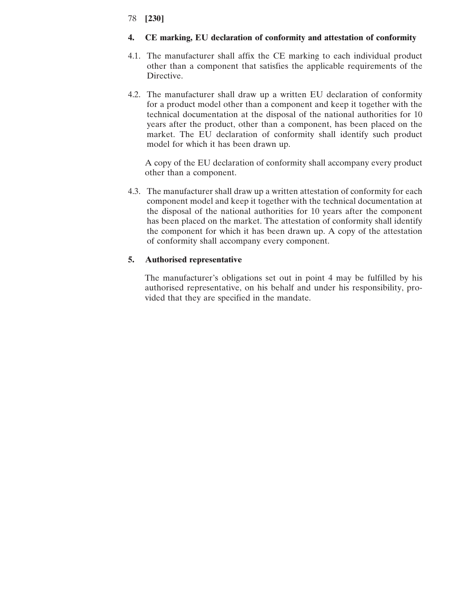# **4. CE marking, EU declaration of conformity and attestation of conformity**

- 4.1. The manufacturer shall affix the CE marking to each individual product other than a component that satisfies the applicable requirements of the Directive.
- 4.2. The manufacturer shall draw up a written EU declaration of conformity for a product model other than a component and keep it together with the technical documentation at the disposal of the national authorities for 10 years after the product, other than a component, has been placed on the market. The EU declaration of conformity shall identify such product model for which it has been drawn up.

A copy of the EU declaration of conformity shall accompany every product other than a component.

4.3. The manufacturer shall draw up a written attestation of conformity for each component model and keep it together with the technical documentation at the disposal of the national authorities for 10 years after the component has been placed on the market. The attestation of conformity shall identify the component for which it has been drawn up. A copy of the attestation of conformity shall accompany every component.

# **5. Authorised representative**

The manufacturer's obligations set out in point 4 may be fulfilled by his authorised representative, on his behalf and under his responsibility, provided that they are specified in the mandate.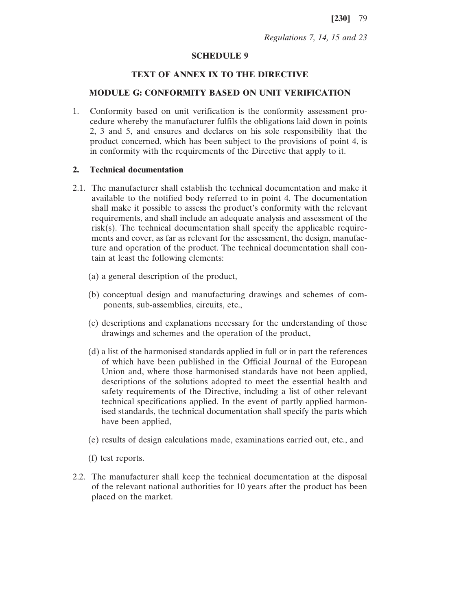*Regulations 7, 14, 15 and 23*

#### **SCHEDULE 9**

## **TEXT OF ANNEX IX TO THE DIRECTIVE**

## **MODULE G: CONFORMITY BASED ON UNIT VERIFICATION**

1. Conformity based on unit verification is the conformity assessment procedure whereby the manufacturer fulfils the obligations laid down in points 2, 3 and 5, and ensures and declares on his sole responsibility that the product concerned, which has been subject to the provisions of point 4, is in conformity with the requirements of the Directive that apply to it.

## **2. Technical documentation**

- 2.1. The manufacturer shall establish the technical documentation and make it available to the notified body referred to in point 4. The documentation shall make it possible to assess the product's conformity with the relevant requirements, and shall include an adequate analysis and assessment of the risk(s). The technical documentation shall specify the applicable requirements and cover, as far as relevant for the assessment, the design, manufacture and operation of the product. The technical documentation shall contain at least the following elements:
	- (a) a general description of the product,
	- (b) conceptual design and manufacturing drawings and schemes of components, sub-assemblies, circuits, etc.,
	- (c) descriptions and explanations necessary for the understanding of those drawings and schemes and the operation of the product,
	- (d) a list of the harmonised standards applied in full or in part the references of which have been published in the Official Journal of the European Union and, where those harmonised standards have not been applied, descriptions of the solutions adopted to meet the essential health and safety requirements of the Directive, including a list of other relevant technical specifications applied. In the event of partly applied harmonised standards, the technical documentation shall specify the parts which have been applied,
	- (e) results of design calculations made, examinations carried out, etc., and

(f) test reports.

2.2. The manufacturer shall keep the technical documentation at the disposal of the relevant national authorities for 10 years after the product has been placed on the market.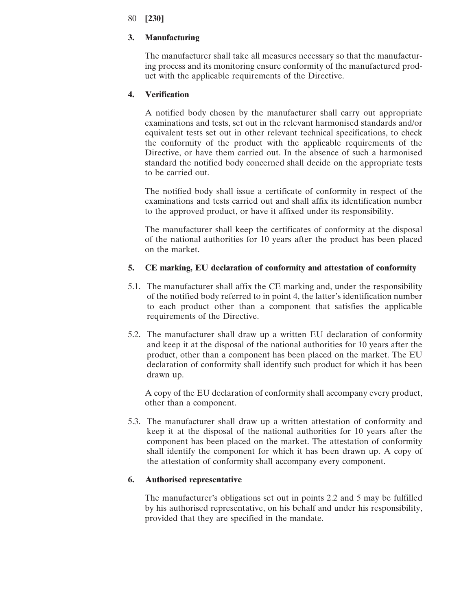## **3. Manufacturing**

The manufacturer shall take all measures necessary so that the manufacturing process and its monitoring ensure conformity of the manufactured product with the applicable requirements of the Directive.

# **4. Verification**

A notified body chosen by the manufacturer shall carry out appropriate examinations and tests, set out in the relevant harmonised standards and/or equivalent tests set out in other relevant technical specifications, to check the conformity of the product with the applicable requirements of the Directive, or have them carried out. In the absence of such a harmonised standard the notified body concerned shall decide on the appropriate tests to be carried out.

The notified body shall issue a certificate of conformity in respect of the examinations and tests carried out and shall affix its identification number to the approved product, or have it affixed under its responsibility.

The manufacturer shall keep the certificates of conformity at the disposal of the national authorities for 10 years after the product has been placed on the market.

## **5. CE marking, EU declaration of conformity and attestation of conformity**

- 5.1. The manufacturer shall affix the CE marking and, under the responsibility of the notified body referred to in point 4, the latter's identification number to each product other than a component that satisfies the applicable requirements of the Directive.
- 5.2. The manufacturer shall draw up a written EU declaration of conformity and keep it at the disposal of the national authorities for 10 years after the product, other than a component has been placed on the market. The EU declaration of conformity shall identify such product for which it has been drawn up.

A copy of the EU declaration of conformity shall accompany every product, other than a component.

5.3. The manufacturer shall draw up a written attestation of conformity and keep it at the disposal of the national authorities for 10 years after the component has been placed on the market. The attestation of conformity shall identify the component for which it has been drawn up. A copy of the attestation of conformity shall accompany every component.

## **6. Authorised representative**

The manufacturer's obligations set out in points 2.2 and 5 may be fulfilled by his authorised representative, on his behalf and under his responsibility, provided that they are specified in the mandate.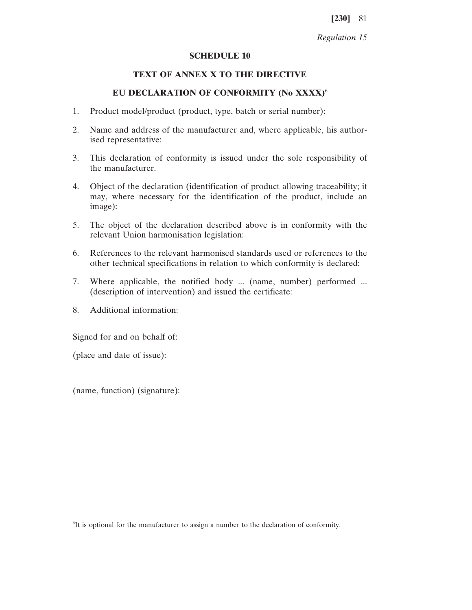#### **SCHEDULE 10**

## **TEXT OF ANNEX X TO THE DIRECTIVE**

#### **EU DECLARATION OF CONFORMITY (No XXXX)**<sup>6</sup>

- 1. Product model/product (product, type, batch or serial number):
- 2. Name and address of the manufacturer and, where applicable, his authorised representative:
- 3. This declaration of conformity is issued under the sole responsibility of the manufacturer.
- 4. Object of the declaration (identification of product allowing traceability; it may, where necessary for the identification of the product, include an image):
- 5. The object of the declaration described above is in conformity with the relevant Union harmonisation legislation:
- 6. References to the relevant harmonised standards used or references to the other technical specifications in relation to which conformity is declared:
- 7. Where applicable, the notified body ... (name, number) performed ... (description of intervention) and issued the certificate:
- 8. Additional information:

Signed for and on behalf of:

(place and date of issue):

(name, function) (signature):

6 It is optional for the manufacturer to assign a number to the declaration of conformity.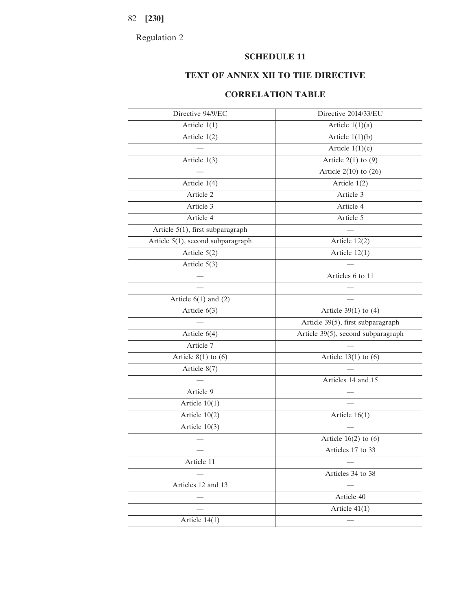Regulation 2

# **SCHEDULE 11**

# **TEXT OF ANNEX XII TO THE DIRECTIVE**

# **CORRELATION TABLE**

| Directive 94/9/EC                 | Directive 2014/33/EU               |
|-----------------------------------|------------------------------------|
| Article $1(1)$                    | Article $1(1)(a)$                  |
| Article $1(2)$                    | Article $1(1)(b)$                  |
|                                   | Article $1(1)(c)$                  |
| Article $1(3)$                    | Article $2(1)$ to $(9)$            |
|                                   | Article $2(10)$ to $(26)$          |
| Article $1(4)$                    | Article $1(2)$                     |
| Article 2                         | Article 3                          |
| Article 3                         | Article 4                          |
| Article 4                         | Article 5                          |
| Article 5(1), first subparagraph  |                                    |
| Article 5(1), second subparagraph | Article $12(2)$                    |
| Article $5(2)$                    | Article $12(1)$                    |
| Article $5(3)$                    |                                    |
|                                   | Articles 6 to 11                   |
|                                   |                                    |
| Article $6(1)$ and $(2)$          |                                    |
| Article $6(3)$                    | Article $39(1)$ to $(4)$           |
|                                   | Article 39(5), first subparagraph  |
| Article $6(4)$                    | Article 39(5), second subparagraph |
| Article 7                         |                                    |
| Article $8(1)$ to $(6)$           | Article $13(1)$ to $(6)$           |
| Article $8(7)$                    |                                    |
|                                   | Articles 14 and 15                 |
| Article 9                         |                                    |
| Article $10(1)$                   |                                    |
| Article $10(2)$                   | Article $16(1)$                    |
| Article $10(3)$                   |                                    |
|                                   | Article $16(2)$ to $(6)$           |
|                                   | Articles 17 to 33                  |
| Article 11                        |                                    |
|                                   | Articles 34 to 38                  |
| Articles 12 and 13                |                                    |
|                                   | Article 40                         |
|                                   | Article $41(1)$                    |
| Article $14(1)$                   |                                    |
|                                   |                                    |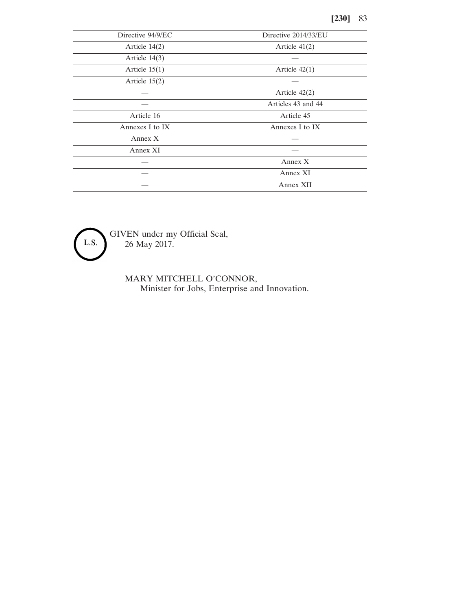| Directive 94/9/EC | Directive 2014/33/EU |
|-------------------|----------------------|
| Article $14(2)$   | Article $41(2)$      |
| Article $14(3)$   |                      |
| Article $15(1)$   | Article $42(1)$      |
| Article $15(2)$   |                      |
|                   | Article 42(2)        |
|                   | Articles 43 and 44   |
| Article 16        | Article 45           |
| Annexes I to IX   | Annexes I to IX      |
| Annex X           |                      |
| Annex XI          |                      |
|                   | Annex X              |
|                   | Annex XI             |
|                   | Annex XII            |

L.S.

GIVEN under my Official Seal, 26 May 2017.

> MARY MITCHELL O'CONNOR, Minister for Jobs, Enterprise and Innovation.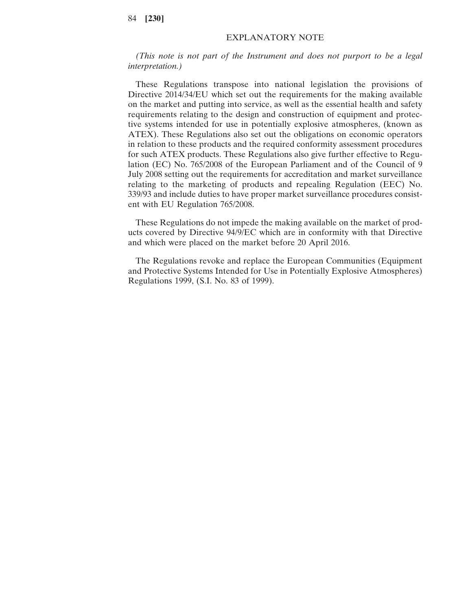## EXPLANATORY NOTE

*(This note is not part of the Instrument and does not purport to be a legal interpretation.)*

These Regulations transpose into national legislation the provisions of Directive 2014/34/EU which set out the requirements for the making available on the market and putting into service, as well as the essential health and safety requirements relating to the design and construction of equipment and protective systems intended for use in potentially explosive atmospheres, (known as ATEX). These Regulations also set out the obligations on economic operators in relation to these products and the required conformity assessment procedures for such ATEX products. These Regulations also give further effective to Regulation (EC) No. 765/2008 of the European Parliament and of the Council of 9 July 2008 setting out the requirements for accreditation and market surveillance relating to the marketing of products and repealing Regulation (EEC) No. 339/93 and include duties to have proper market surveillance procedures consistent with EU Regulation 765/2008.

These Regulations do not impede the making available on the market of products covered by Directive 94/9/EC which are in conformity with that Directive and which were placed on the market before 20 April 2016.

The Regulations revoke and replace the European Communities (Equipment and Protective Systems Intended for Use in Potentially Explosive Atmospheres) Regulations 1999, (S.I. No. 83 of 1999).